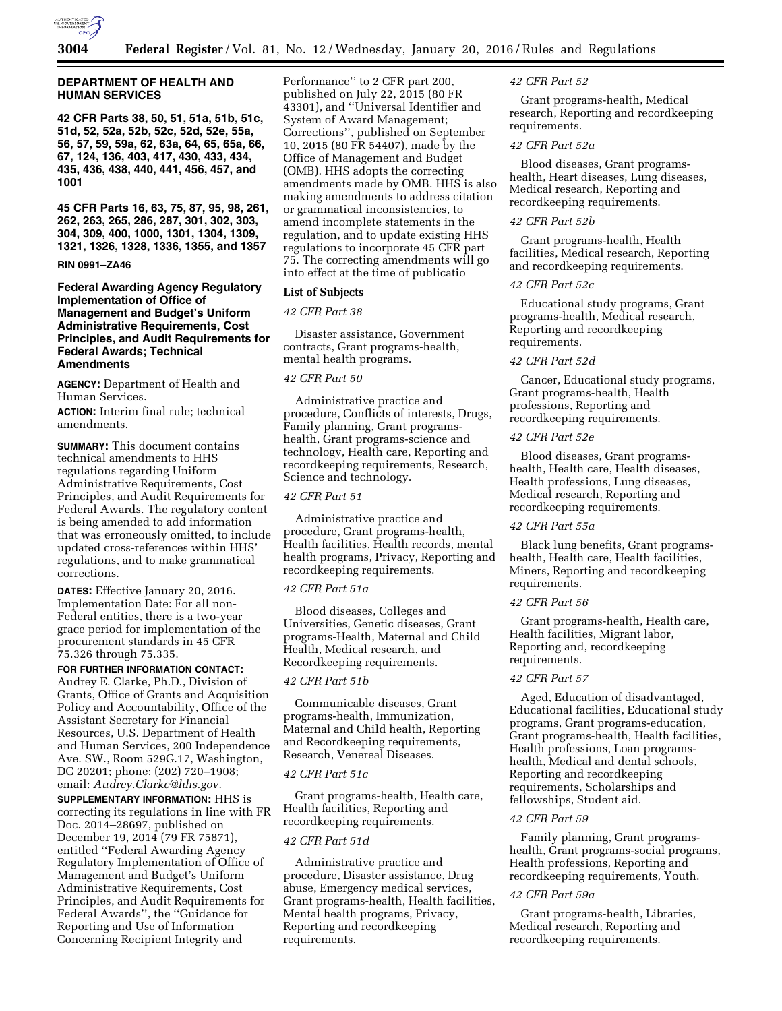

# **DEPARTMENT OF HEALTH AND HUMAN SERVICES**

**42 CFR Parts 38, 50, 51, 51a, 51b, 51c, 51d, 52, 52a, 52b, 52c, 52d, 52e, 55a, 56, 57, 59, 59a, 62, 63a, 64, 65, 65a, 66, 67, 124, 136, 403, 417, 430, 433, 434, 435, 436, 438, 440, 441, 456, 457, and 1001** 

**45 CFR Parts 16, 63, 75, 87, 95, 98, 261, 262, 263, 265, 286, 287, 301, 302, 303, 304, 309, 400, 1000, 1301, 1304, 1309, 1321, 1326, 1328, 1336, 1355, and 1357** 

## **RIN 0991–ZA46**

**Federal Awarding Agency Regulatory Implementation of Office of Management and Budget's Uniform Administrative Requirements, Cost Principles, and Audit Requirements for Federal Awards; Technical Amendments** 

**AGENCY:** Department of Health and Human Services.

**ACTION:** Interim final rule; technical amendments.

**SUMMARY:** This document contains technical amendments to HHS regulations regarding Uniform Administrative Requirements, Cost Principles, and Audit Requirements for Federal Awards. The regulatory content is being amended to add information that was erroneously omitted, to include updated cross-references within HHS' regulations, and to make grammatical corrections.

**DATES:** Effective January 20, 2016. Implementation Date: For all non-Federal entities, there is a two-year grace period for implementation of the procurement standards in 45 CFR 75.326 through 75.335.

#### **FOR FURTHER INFORMATION CONTACT:**

Audrey E. Clarke, Ph.D., Division of Grants, Office of Grants and Acquisition Policy and Accountability, Office of the Assistant Secretary for Financial Resources, U.S. Department of Health and Human Services, 200 Independence Ave. SW., Room 529G.17, Washington, DC 20201; phone: (202) 720–1908; email: *[Audrey.Clarke@hhs.gov.](mailto:Audrey.Clarke@hhs.gov)* 

**SUPPLEMENTARY INFORMATION:** HHS is correcting its regulations in line with FR Doc. 2014–28697, published on December 19, 2014 (79 FR 75871), entitled ''Federal Awarding Agency Regulatory Implementation of Office of Management and Budget's Uniform Administrative Requirements, Cost Principles, and Audit Requirements for Federal Awards'', the ''Guidance for Reporting and Use of Information Concerning Recipient Integrity and

Performance'' to 2 CFR part 200, published on July 22, 2015 (80 FR 43301), and ''Universal Identifier and System of Award Management; Corrections'', published on September 10, 2015 (80 FR 54407), made by the Office of Management and Budget (OMB). HHS adopts the correcting amendments made by OMB. HHS is also making amendments to address citation or grammatical inconsistencies, to amend incomplete statements in the regulation, and to update existing HHS regulations to incorporate 45 CFR part 75. The correcting amendments will go into effect at the time of publicatio

## **List of Subjects**

#### *42 CFR Part 38*

Disaster assistance, Government contracts, Grant programs-health, mental health programs.

# *42 CFR Part 50*

Administrative practice and procedure, Conflicts of interests, Drugs, Family planning, Grant programshealth, Grant programs-science and technology, Health care, Reporting and recordkeeping requirements, Research, Science and technology.

# *42 CFR Part 51*

Administrative practice and procedure, Grant programs-health, Health facilities, Health records, mental health programs, Privacy, Reporting and recordkeeping requirements.

#### *42 CFR Part 51a*

Blood diseases, Colleges and Universities, Genetic diseases, Grant programs-Health, Maternal and Child Health, Medical research, and Recordkeeping requirements.

# *42 CFR Part 51b*

Communicable diseases, Grant programs-health, Immunization, Maternal and Child health, Reporting and Recordkeeping requirements, Research, Venereal Diseases.

## *42 CFR Part 51c*

Grant programs-health, Health care, Health facilities, Reporting and recordkeeping requirements.

# *42 CFR Part 51d*

Administrative practice and procedure, Disaster assistance, Drug abuse, Emergency medical services, Grant programs-health, Health facilities, Mental health programs, Privacy, Reporting and recordkeeping requirements.

#### *42 CFR Part 52*

Grant programs-health, Medical research, Reporting and recordkeeping requirements.

# *42 CFR Part 52a*

Blood diseases, Grant programshealth, Heart diseases, Lung diseases, Medical research, Reporting and recordkeeping requirements.

#### *42 CFR Part 52b*

Grant programs-health, Health facilities, Medical research, Reporting and recordkeeping requirements.

## *42 CFR Part 52c*

Educational study programs, Grant programs-health, Medical research, Reporting and recordkeeping requirements.

### *42 CFR Part 52d*

Cancer, Educational study programs, Grant programs-health, Health professions, Reporting and recordkeeping requirements.

## *42 CFR Part 52e*

Blood diseases, Grant programshealth, Health care, Health diseases, Health professions, Lung diseases, Medical research, Reporting and recordkeeping requirements.

# *42 CFR Part 55a*

Black lung benefits, Grant programshealth, Health care, Health facilities, Miners, Reporting and recordkeeping requirements.

# *42 CFR Part 56*

Grant programs-health, Health care, Health facilities, Migrant labor, Reporting and, recordkeeping requirements.

# *42 CFR Part 57*

Aged, Education of disadvantaged, Educational facilities, Educational study programs, Grant programs-education, Grant programs-health, Health facilities, Health professions, Loan programshealth, Medical and dental schools, Reporting and recordkeeping requirements, Scholarships and fellowships, Student aid.

## *42 CFR Part 59*

Family planning, Grant programshealth, Grant programs-social programs, Health professions, Reporting and recordkeeping requirements, Youth.

#### *42 CFR Part 59a*

Grant programs-health, Libraries, Medical research, Reporting and recordkeeping requirements.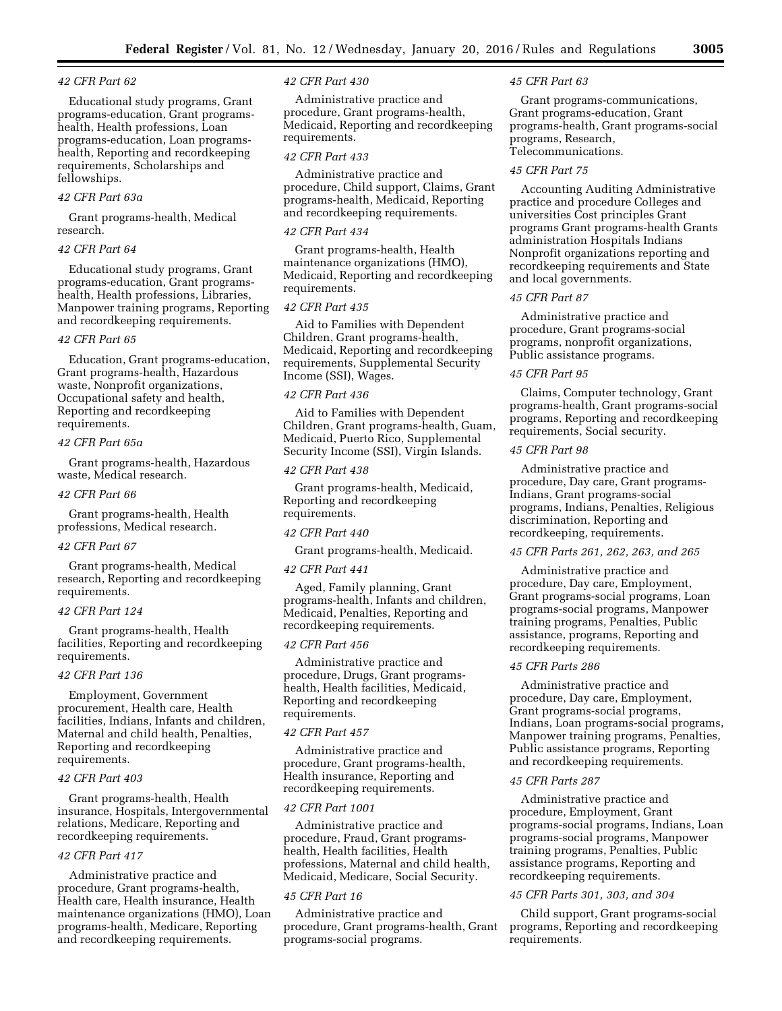## *42 CFR Part 62*

Educational study programs, Grant programs-education, Grant programshealth, Health professions, Loan programs-education, Loan programshealth, Reporting and recordkeeping requirements, Scholarships and fellowships.

## *42 CFR Part 63a*

Grant programs-health, Medical research.

## *42 CFR Part 64*

Educational study programs, Grant programs-education, Grant programshealth, Health professions, Libraries, Manpower training programs, Reporting and recordkeeping requirements.

## *42 CFR Part 65*

Education, Grant programs-education, Grant programs-health, Hazardous waste, Nonprofit organizations, Occupational safety and health, Reporting and recordkeeping requirements.

# *42 CFR Part 65a*

Grant programs-health, Hazardous waste, Medical research.

### *42 CFR Part 66*

Grant programs-health, Health professions, Medical research.

## *42 CFR Part 67*

Grant programs-health, Medical research, Reporting and recordkeeping requirements.

## *42 CFR Part 124*

Grant programs-health, Health facilities, Reporting and recordkeeping requirements.

## *42 CFR Part 136*

Employment, Government procurement, Health care, Health facilities, Indians, Infants and children, Maternal and child health, Penalties, Reporting and recordkeeping requirements.

# *42 CFR Part 403*

Grant programs-health, Health insurance, Hospitals, Intergovernmental relations, Medicare, Reporting and recordkeeping requirements.

# *42 CFR Part 417*

Administrative practice and procedure, Grant programs-health, Health care, Health insurance, Health maintenance organizations (HMO), Loan programs-health, Medicare, Reporting and recordkeeping requirements.

#### *42 CFR Part 430*

Administrative practice and procedure, Grant programs-health, Medicaid, Reporting and recordkeeping requirements.

#### *42 CFR Part 433*

Administrative practice and procedure, Child support, Claims, Grant programs-health, Medicaid, Reporting and recordkeeping requirements.

## *42 CFR Part 434*

Grant programs-health, Health maintenance organizations (HMO), Medicaid, Reporting and recordkeeping requirements.

# *42 CFR Part 435*

Aid to Families with Dependent Children, Grant programs-health, Medicaid, Reporting and recordkeeping requirements, Supplemental Security Income (SSI), Wages.

#### *42 CFR Part 436*

Aid to Families with Dependent Children, Grant programs-health, Guam, Medicaid, Puerto Rico, Supplemental Security Income (SSI), Virgin Islands.

## *42 CFR Part 438*

Grant programs-health, Medicaid, Reporting and recordkeeping requirements.

#### *42 CFR Part 440*

Grant programs-health, Medicaid.

## *42 CFR Part 441*

Aged, Family planning, Grant programs-health, Infants and children, Medicaid, Penalties, Reporting and recordkeeping requirements.

#### *42 CFR Part 456*

Administrative practice and procedure, Drugs, Grant programshealth, Health facilities, Medicaid, Reporting and recordkeeping requirements.

#### *42 CFR Part 457*

Administrative practice and procedure, Grant programs-health, Health insurance, Reporting and recordkeeping requirements.

## *42 CFR Part 1001*

Administrative practice and procedure, Fraud, Grant programshealth, Health facilities, Health professions, Maternal and child health, Medicaid, Medicare, Social Security.

## *45 CFR Part 16*

Administrative practice and procedure, Grant programs-health, Grant programs-social programs.

#### *45 CFR Part 63*

Grant programs-communications, Grant programs-education, Grant programs-health, Grant programs-social programs, Research, Telecommunications.

## *45 CFR Part 75*

Accounting Auditing Administrative practice and procedure Colleges and universities Cost principles Grant programs Grant programs-health Grants administration Hospitals Indians Nonprofit organizations reporting and recordkeeping requirements and State and local governments.

## *45 CFR Part 87*

Administrative practice and procedure, Grant programs-social programs, nonprofit organizations, Public assistance programs.

#### *45 CFR Part 95*

Claims, Computer technology, Grant programs-health, Grant programs-social programs, Reporting and recordkeeping requirements, Social security.

## *45 CFR Part 98*

Administrative practice and procedure, Day care, Grant programs-Indians, Grant programs-social programs, Indians, Penalties, Religious discrimination, Reporting and recordkeeping, requirements.

# *45 CFR Parts 261, 262, 263, and 265*

Administrative practice and procedure, Day care, Employment, Grant programs-social programs, Loan programs-social programs, Manpower training programs, Penalties, Public assistance, programs, Reporting and recordkeeping requirements.

## *45 CFR Parts 286*

Administrative practice and procedure, Day care, Employment, Grant programs-social programs, Indians, Loan programs-social programs, Manpower training programs, Penalties, Public assistance programs, Reporting and recordkeeping requirements.

### *45 CFR Parts 287*

Administrative practice and procedure, Employment, Grant programs-social programs, Indians, Loan programs-social programs, Manpower training programs, Penalties, Public assistance programs, Reporting and recordkeeping requirements.

#### *45 CFR Parts 301, 303, and 304*

Child support, Grant programs-social programs, Reporting and recordkeeping requirements.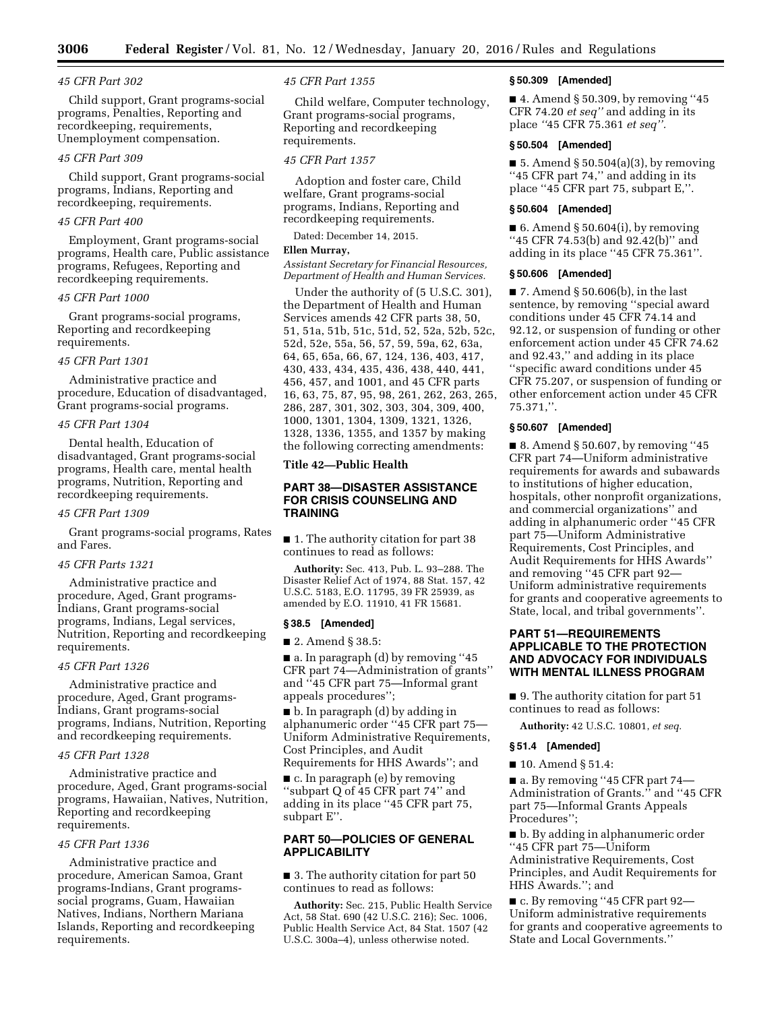#### *45 CFR Part 302*

Child support, Grant programs-social programs, Penalties, Reporting and recordkeeping, requirements, Unemployment compensation.

# *45 CFR Part 309*

Child support, Grant programs-social programs, Indians, Reporting and recordkeeping, requirements.

### *45 CFR Part 400*

Employment, Grant programs-social programs, Health care, Public assistance programs, Refugees, Reporting and recordkeeping requirements.

## *45 CFR Part 1000*

Grant programs-social programs, Reporting and recordkeeping requirements.

## *45 CFR Part 1301*

Administrative practice and procedure, Education of disadvantaged, Grant programs-social programs.

## *45 CFR Part 1304*

Dental health, Education of disadvantaged, Grant programs-social programs, Health care, mental health programs, Nutrition, Reporting and recordkeeping requirements.

#### *45 CFR Part 1309*

Grant programs-social programs, Rates and Fares.

#### *45 CFR Parts 1321*

Administrative practice and procedure, Aged, Grant programs-Indians, Grant programs-social programs, Indians, Legal services, Nutrition, Reporting and recordkeeping requirements.

## *45 CFR Part 1326*

Administrative practice and procedure, Aged, Grant programs-Indians, Grant programs-social programs, Indians, Nutrition, Reporting and recordkeeping requirements.

## *45 CFR Part 1328*

Administrative practice and procedure, Aged, Grant programs-social programs, Hawaiian, Natives, Nutrition, Reporting and recordkeeping requirements.

#### *45 CFR Part 1336*

Administrative practice and procedure, American Samoa, Grant programs-Indians, Grant programssocial programs, Guam, Hawaiian Natives, Indians, Northern Mariana Islands, Reporting and recordkeeping requirements.

#### *45 CFR Part 1355*

Child welfare, Computer technology, Grant programs-social programs, Reporting and recordkeeping requirements.

#### *45 CFR Part 1357*

Adoption and foster care, Child welfare, Grant programs-social programs, Indians, Reporting and recordkeeping requirements.

Dated: December 14, 2015.

# **Ellen Murray,**

*Assistant Secretary for Financial Resources, Department of Health and Human Services.* 

Under the authority of (5 U.S.C. 301), the Department of Health and Human Services amends 42 CFR parts 38, 50, 51, 51a, 51b, 51c, 51d, 52, 52a, 52b, 52c, 52d, 52e, 55a, 56, 57, 59, 59a, 62, 63a, 64, 65, 65a, 66, 67, 124, 136, 403, 417, 430, 433, 434, 435, 436, 438, 440, 441, 456, 457, and 1001, and 45 CFR parts 16, 63, 75, 87, 95, 98, 261, 262, 263, 265, 286, 287, 301, 302, 303, 304, 309, 400, 1000, 1301, 1304, 1309, 1321, 1326, 1328, 1336, 1355, and 1357 by making the following correcting amendments:

### **Title 42—Public Health**

# **PART 38—DISASTER ASSISTANCE FOR CRISIS COUNSELING AND TRAINING**

■ 1. The authority citation for part 38 continues to read as follows:

**Authority:** Sec. 413, Pub. L. 93–288. The Disaster Relief Act of 1974, 88 Stat. 157, 42 U.S.C. 5183, E.O. 11795, 39 FR 25939, as amended by E.O. 11910, 41 FR 15681.

## **§ 38.5 [Amended]**

■ 2. Amend § 38.5:

■ a. In paragraph (d) by removing "45 CFR part 74—Administration of grants'' and ''45 CFR part 75—Informal grant appeals procedures'';

■ b. In paragraph (d) by adding in alphanumeric order ''45 CFR part 75— Uniform Administrative Requirements, Cost Principles, and Audit Requirements for HHS Awards''; and

■ c. In paragraph (e) by removing ''subpart Q of 45 CFR part 74'' and

adding in its place ''45 CFR part 75, subpart E''.

# **PART 50—POLICIES OF GENERAL APPLICABILITY**

■ 3. The authority citation for part 50 continues to read as follows:

**Authority:** Sec. 215, Public Health Service Act, 58 Stat. 690 (42 U.S.C. 216); Sec. 1006, Public Health Service Act, 84 Stat. 1507 (42 U.S.C. 300a–4), unless otherwise noted.

#### **§ 50.309 [Amended]**

■ 4. Amend § 50.309, by removing "45 CFR 74.20 *et seq''* and adding in its place *''*45 CFR 75.361 *et seq''.* 

# **§ 50.504 [Amended]**

 $\blacksquare$  5. Amend § 50.504(a)(3), by removing ''45 CFR part 74,'' and adding in its place ''45 CFR part 75, subpart E,''.

## **§ 50.604 [Amended]**

■ 6. Amend § 50.604(i), by removing ''45 CFR 74.53(b) and 92.42(b)'' and adding in its place ''45 CFR 75.361''.

## **§ 50.606 [Amended]**

 $\blacksquare$  7. Amend § 50.606(b), in the last sentence, by removing ''special award conditions under 45 CFR 74.14 and 92.12, or suspension of funding or other enforcement action under 45 CFR 74.62 and 92.43,'' and adding in its place ''specific award conditions under 45 CFR 75.207, or suspension of funding or other enforcement action under 45 CFR 75.371,''.

# **§ 50.607 [Amended]**

 $\blacksquare$  8. Amend § 50.607, by removing "45 CFR part 74—Uniform administrative requirements for awards and subawards to institutions of higher education, hospitals, other nonprofit organizations, and commercial organizations'' and adding in alphanumeric order ''45 CFR part 75—Uniform Administrative Requirements, Cost Principles, and Audit Requirements for HHS Awards'' and removing ''45 CFR part 92— Uniform administrative requirements for grants and cooperative agreements to State, local, and tribal governments''.

# **PART 51—REQUIREMENTS APPLICABLE TO THE PROTECTION AND ADVOCACY FOR INDIVIDUALS WITH MENTAL ILLNESS PROGRAM**

■ 9. The authority citation for part 51 continues to read as follows:

**Authority:** 42 U.S.C. 10801, *et seq.* 

#### **§ 51.4 [Amended]**

■ 10. Amend § 51.4:

■ a. By removing ''45 CFR part 74— Administration of Grants.'' and ''45 CFR part 75—Informal Grants Appeals Procedures'';

■ b. By adding in alphanumeric order ''45 CFR part 75—Uniform Administrative Requirements, Cost Principles, and Audit Requirements for HHS Awards.''; and

■ c. By removing "45 CFR part 92— Uniform administrative requirements for grants and cooperative agreements to State and Local Governments.''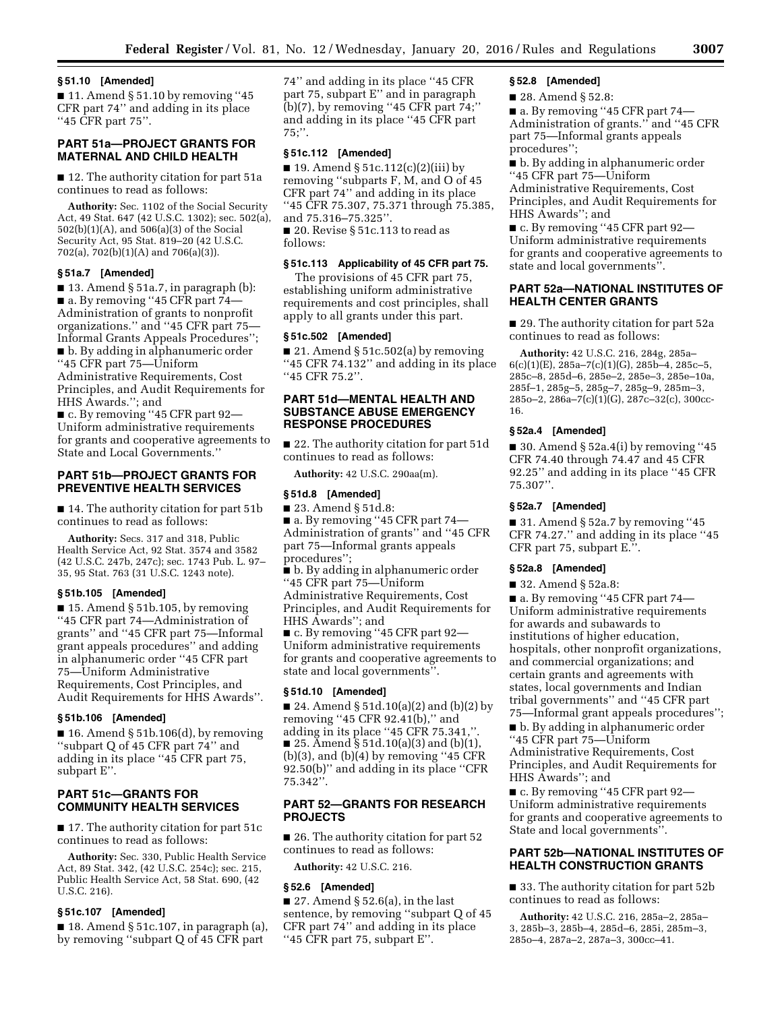## **§ 51.10 [Amended]**

 $\blacksquare$  11. Amend § 51.10 by removing "45 CFR part 74'' and adding in its place ''45 CFR part 75''.

# **PART 51a—PROJECT GRANTS FOR MATERNAL AND CHILD HEALTH**

■ 12. The authority citation for part 51a continues to read as follows:

**Authority:** Sec. 1102 of the Social Security Act, 49 Stat. 647 (42 U.S.C. 1302); sec. 502(a), 502(b)(1)(A), and 506(a)(3) of the Social Security Act, 95 Stat. 819–20 (42 U.S.C. 702(a), 702(b)(1)(A) and 706(a)(3)).

# **§ 51a.7 [Amended]**

 $\blacksquare$  13. Amend § 51a.7, in paragraph (b): ■ a. By removing "45 CFR part 74– Administration of grants to nonprofit organizations.'' and ''45 CFR part 75— Informal Grants Appeals Procedures''; ■ b. By adding in alphanumeric order ''45 CFR part 75—Uniform

Administrative Requirements, Cost Principles, and Audit Requirements for HHS Awards.''; and

■ c. By removing "45 CFR part 92— Uniform administrative requirements for grants and cooperative agreements to State and Local Governments.''

# **PART 51b—PROJECT GRANTS FOR PREVENTIVE HEALTH SERVICES**

■ 14. The authority citation for part 51b continues to read as follows:

**Authority:** Secs. 317 and 318, Public Health Service Act, 92 Stat. 3574 and 3582 (42 U.S.C. 247b, 247c); sec. 1743 Pub. L. 97– 35, 95 Stat. 763 (31 U.S.C. 1243 note).

### **§ 51b.105 [Amended]**

 $\blacksquare$  15. Amend § 51b.105, by removing ''45 CFR part 74—Administration of grants'' and ''45 CFR part 75—Informal grant appeals procedures'' and adding in alphanumeric order ''45 CFR part 75—Uniform Administrative Requirements, Cost Principles, and Audit Requirements for HHS Awards''.

### **§ 51b.106 [Amended]**

■ 16. Amend § 51b.106(d), by removing ''subpart Q of 45 CFR part 74'' and adding in its place ''45 CFR part 75, subpart E''.

# **PART 51c—GRANTS FOR COMMUNITY HEALTH SERVICES**

■ 17. The authority citation for part 51c continues to read as follows:

**Authority:** Sec. 330, Public Health Service Act, 89 Stat. 342, (42 U.S.C. 254c); sec. 215, Public Health Service Act, 58 Stat. 690, (42 U.S.C. 216).

#### **§ 51c.107 [Amended]**

 $\blacksquare$  18. Amend § 51c.107, in paragraph (a), by removing ''subpart Q of 45 CFR part

74'' and adding in its place ''45 CFR part 75, subpart E'' and in paragraph (b)(7), by removing ''45 CFR part 74;'' and adding in its place ''45 CFR part 75;''.

# **§ 51c.112 [Amended]**

■ 19. Amend § 51c.112(c)(2)(iii) by removing ''subparts F, M, and O of 45 CFR part 74'' and adding in its place ''45 CFR 75.307, 75.371 through 75.385, and 75.316–75.325''. ■ 20. Revise § 51c.113 to read as follows:

# **§ 51c.113 Applicability of 45 CFR part 75.**

The provisions of 45 CFR part 75, establishing uniform administrative requirements and cost principles, shall apply to all grants under this part.

## **§ 51c.502 [Amended]**

 $\blacksquare$  21. Amend § 51c.502(a) by removing ''45 CFR 74.132'' and adding in its place ''45 CFR 75.2''.

# **PART 51d—MENTAL HEALTH AND SUBSTANCE ABUSE EMERGENCY RESPONSE PROCEDURES**

■ 22. The authority citation for part 51d continues to read as follows:

**Authority:** 42 U.S.C. 290aa(m).

### **§ 51d.8 [Amended]**

■ 23. Amend § 51d.8:

■ a. By removing "45 CFR part 74— Administration of grants'' and ''45 CFR part 75—Informal grants appeals procedures'';

■ b. By adding in alphanumeric order ''45 CFR part 75—Uniform Administrative Requirements, Cost Principles, and Audit Requirements for HHS Awards''; and

■ c. By removing ''45 CFR part 92— Uniform administrative requirements for grants and cooperative agreements to state and local governments''.

## **§ 51d.10 [Amended]**

■ 24. Amend § 51d.10(a)(2) and (b)(2) by removing ''45 CFR 92.41(b),'' and adding in its place ''45 CFR 75.341,''. ■ 25. Amend § 51d.10(a)(3) and (b)(1),  $(b)(3)$ , and  $(b)(4)$  by removing "45 CFR 92.50(b)'' and adding in its place ''CFR 75.342''.

## **PART 52—GRANTS FOR RESEARCH PROJECTS**

■ 26. The authority citation for part 52 continues to read as follows:

**Authority:** 42 U.S.C. 216.

#### **§ 52.6 [Amended]**

■ 27. Amend § 52.6(a), in the last sentence, by removing ''subpart Q of 45 CFR part 74'' and adding in its place ''45 CFR part 75, subpart E''.

# **§ 52.8 [Amended]**

■ 28. Amend § 52.8:

■ a. By removing "45 CFR part 74— Administration of grants.'' and ''45 CFR part 75—Informal grants appeals procedures'';

■ b. By adding in alphanumeric order ''45 CFR part 75—Uniform Administrative Requirements, Cost Principles, and Audit Requirements for HHS Awards''; and

■ c. By removing "45 CFR part 92— Uniform administrative requirements for grants and cooperative agreements to state and local governments''.

# **PART 52a—NATIONAL INSTITUTES OF HEALTH CENTER GRANTS**

■ 29. The authority citation for part 52a continues to read as follows:

**Authority:** 42 U.S.C. 216, 284g, 285a–  $6(c)(1)(E)$ , 285a–7(c)(1)(G), 285b–4, 285c–5, 285c–8, 285d–6, 285e–2, 285e–3, 285e–10a, 285f–1, 285g–5, 285g–7, 285g–9, 285m–3, 285o–2, 286a–7(c)(1)(G), 287c–32(c), 300cc-16.

### **§ 52a.4 [Amended]**

 $\blacksquare$  30. Amend § 52a.4(i) by removing "45 CFR 74.40 through 74.47 and 45 CFR 92.25'' and adding in its place ''45 CFR 75.307''.

## **§ 52a.7 [Amended]**

 $\blacksquare$  31. Amend § 52a.7 by removing "45 CFR 74.27.'' and adding in its place ''45 CFR part 75, subpart E.''.

## **§ 52a.8 [Amended]**

■ 32. Amend § 52a.8:

■ a. By removing "45 CFR part 74— Uniform administrative requirements for awards and subawards to institutions of higher education, hospitals, other nonprofit organizations, and commercial organizations; and certain grants and agreements with states, local governments and Indian tribal governments'' and ''45 CFR part 75—Informal grant appeals procedures'';

■ b. By adding in alphanumeric order ''45 CFR part 75—Uniform Administrative Requirements, Cost Principles, and Audit Requirements for HHS Awards''; and

■ c. By removing "45 CFR part 92— Uniform administrative requirements for grants and cooperative agreements to State and local governments''.

## **PART 52b—NATIONAL INSTITUTES OF HEALTH CONSTRUCTION GRANTS**

■ 33. The authority citation for part 52b continues to read as follows:

**Authority:** 42 U.S.C. 216, 285a–2, 285a– 3, 285b–3, 285b–4, 285d–6, 285i, 285m–3, 285o–4, 287a–2, 287a–3, 300cc–41.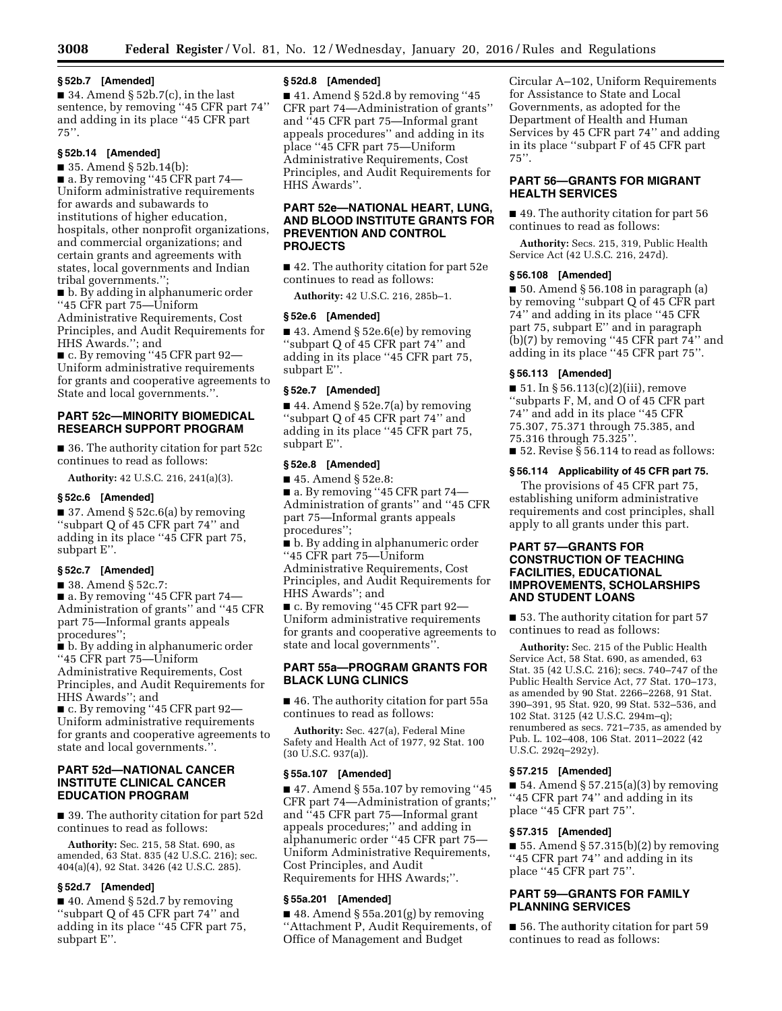# **§ 52b.7 [Amended]**

 $\blacksquare$  34. Amend § 52b.7(c), in the last sentence, by removing ''45 CFR part 74'' and adding in its place ''45 CFR part 75''.

# **§ 52b.14 [Amended]**

■ 35. Amend § 52b.14(b):

■ a. By removing "45 CFR part 74— Uniform administrative requirements for awards and subawards to institutions of higher education, hospitals, other nonprofit organizations, and commercial organizations; and certain grants and agreements with states, local governments and Indian tribal governments.'';

■ b. By adding in alphanumeric order ''45 CFR part 75—Uniform Administrative Requirements, Cost Principles, and Audit Requirements for HHS Awards.''; and

■ c. By removing "45 CFR part 92— Uniform administrative requirements for grants and cooperative agreements to State and local governments.''.

# **PART 52c—MINORITY BIOMEDICAL RESEARCH SUPPORT PROGRAM**

■ 36. The authority citation for part 52c continues to read as follows:

**Authority:** 42 U.S.C. 216, 241(a)(3).

### **§ 52c.6 [Amended]**

■ 37. Amend § 52c.6(a) by removing ''subpart Q of 45 CFR part 74'' and adding in its place ''45 CFR part 75, subpart E''.

# **§ 52c.7 [Amended]**

■ 38. Amend § 52c.7:

■ a. By removing "45 CFR part 74— Administration of grants'' and ''45 CFR part 75—Informal grants appeals procedures'';

■ b. By adding in alphanumeric order ''45 CFR part 75—Uniform Administrative Requirements, Cost Principles, and Audit Requirements for HHS Awards''; and

■ c. By removing ''45 CFR part 92— Uniform administrative requirements for grants and cooperative agreements to state and local governments.''.

# **PART 52d—NATIONAL CANCER INSTITUTE CLINICAL CANCER EDUCATION PROGRAM**

■ 39. The authority citation for part 52d continues to read as follows:

**Authority:** Sec. 215, 58 Stat. 690, as amended, 63 Stat. 835 (42 U.S.C. 216); sec. 404(a)(4), 92 Stat. 3426 (42 U.S.C. 285).

# **§ 52d.7 [Amended]**

■ 40. Amend § 52d.7 by removing ''subpart Q of 45 CFR part 74'' and adding in its place ''45 CFR part 75, subpart E''.

# **§ 52d.8 [Amended]**

 $\blacksquare$  41. Amend § 52d.8 by removing "45 CFR part 74—Administration of grants'' and ''45 CFR part 75—Informal grant appeals procedures'' and adding in its place ''45 CFR part 75—Uniform Administrative Requirements, Cost Principles, and Audit Requirements for HHS Awards''.

# **PART 52e—NATIONAL HEART, LUNG, AND BLOOD INSTITUTE GRANTS FOR PREVENTION AND CONTROL PROJECTS**

■ 42. The authority citation for part 52e continues to read as follows:

**Authority:** 42 U.S.C. 216, 285b–1.

# **§ 52e.6 [Amended]**

■ 43. Amend § 52e.6(e) by removing ''subpart Q of 45 CFR part 74'' and adding in its place ''45 CFR part 75, subpart E''.

# **§ 52e.7 [Amended]**

■ 44. Amend § 52e.7(a) by removing ''subpart Q of 45 CFR part 74'' and adding in its place ''45 CFR part 75, subpart E''.

# **§ 52e.8 [Amended]**

■ 45. Amend § 52e.8:

- a. By removing "45 CFR part 74— Administration of grants'' and ''45 CFR part 75—Informal grants appeals procedures'';
- b. By adding in alphanumeric order ''45 CFR part 75—Uniform

Administrative Requirements, Cost Principles, and Audit Requirements for HHS Awards''; and

■ c. By removing ''45 CFR part 92— Uniform administrative requirements for grants and cooperative agreements to state and local governments''.

# **PART 55a—PROGRAM GRANTS FOR BLACK LUNG CLINICS**

■ 46. The authority citation for part 55a continues to read as follows:

**Authority:** Sec. 427(a), Federal Mine Safety and Health Act of 1977, 92 Stat. 100 (30 U.S.C. 937(a)).

#### **§ 55a.107 [Amended]**

■ 47. Amend § 55a.107 by removing "45 CFR part 74—Administration of grants;'' and ''45 CFR part 75—Informal grant appeals procedures;'' and adding in alphanumeric order ''45 CFR part 75— Uniform Administrative Requirements, Cost Principles, and Audit Requirements for HHS Awards;''.

#### **§ 55a.201 [Amended]**

■ 48. Amend § 55a.201(g) by removing ''Attachment P, Audit Requirements, of Office of Management and Budget

Circular A–102, Uniform Requirements for Assistance to State and Local Governments, as adopted for the Department of Health and Human Services by 45 CFR part 74'' and adding in its place ''subpart F of 45 CFR part  $75"$ 

# **PART 56—GRANTS FOR MIGRANT HEALTH SERVICES**

■ 49. The authority citation for part 56 continues to read as follows:

**Authority:** Secs. 215, 319, Public Health Service Act (42 U.S.C. 216, 247d).

#### **§ 56.108 [Amended]**

 $\blacksquare$  50. Amend § 56.108 in paragraph (a) by removing ''subpart Q of 45 CFR part 74'' and adding in its place ''45 CFR part 75, subpart E'' and in paragraph (b)(7) by removing ''45 CFR part 74'' and adding in its place ''45 CFR part 75''.

#### **§ 56.113 [Amended]**

 $\blacksquare$  51. In § 56.113(c)(2)(iii), remove ''subparts F, M, and O of 45 CFR part 74'' and add in its place ''45 CFR 75.307, 75.371 through 75.385, and 75.316 through 75.325''. ■ 52. Revise § 56.114 to read as follows:

## **§ 56.114 Applicability of 45 CFR part 75.**

The provisions of 45 CFR part 75, establishing uniform administrative requirements and cost principles, shall apply to all grants under this part.

# **PART 57—GRANTS FOR CONSTRUCTION OF TEACHING FACILITIES, EDUCATIONAL IMPROVEMENTS, SCHOLARSHIPS AND STUDENT LOANS**

■ 53. The authority citation for part 57 continues to read as follows:

**Authority:** Sec. 215 of the Public Health Service Act, 58 Stat. 690, as amended, 63 Stat. 35 (42 U.S.C. 216); secs. 740–747 of the Public Health Service Act, 77 Stat. 170–173, as amended by 90 Stat. 2266–2268, 91 Stat. 390–391, 95 Stat. 920, 99 Stat. 532–536, and 102 Stat. 3125 (42 U.S.C. 294m–q); renumbered as secs. 721–735, as amended by Pub. L. 102–408, 106 Stat. 2011–2022 (42 U.S.C. 292q–292y).

# **§ 57.215 [Amended]**

■ 54. Amend § 57.215(a)(3) by removing ''45 CFR part 74'' and adding in its place ''45 CFR part 75''.

#### **§ 57.315 [Amended]**

 $\blacksquare$  55. Amend § 57.315(b)(2) by removing ''45 CFR part 74'' and adding in its place ''45 CFR part 75''.

# **PART 59—GRANTS FOR FAMILY PLANNING SERVICES**

■ 56. The authority citation for part 59 continues to read as follows: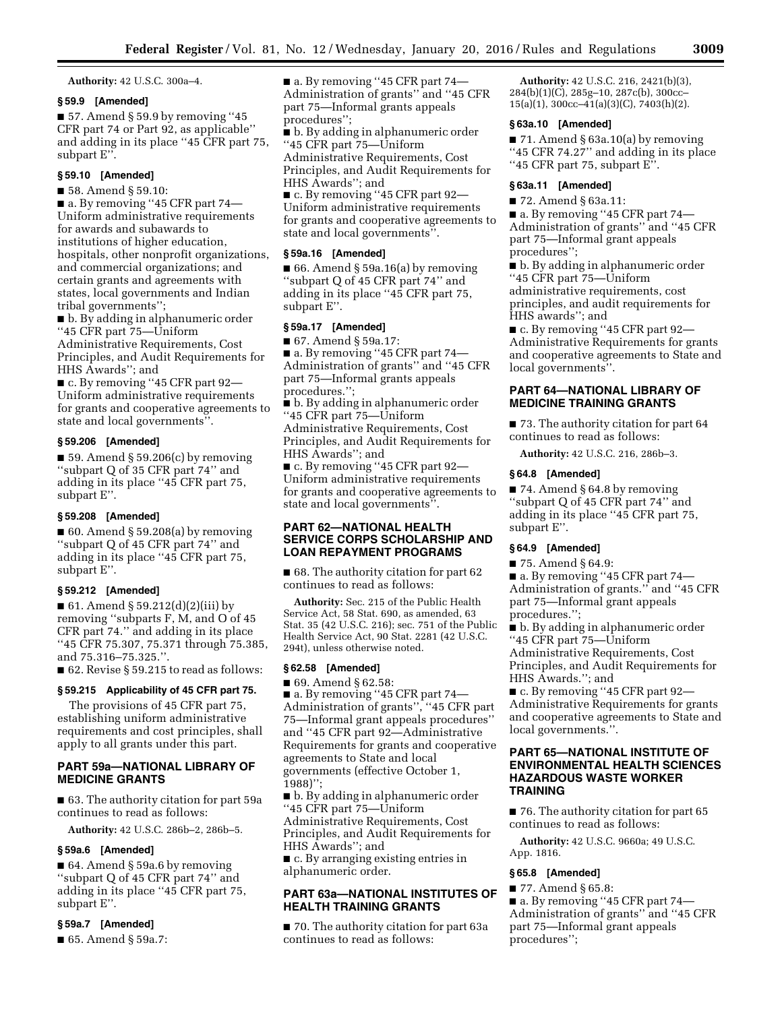**Authority:** 42 U.S.C. 300a–4.

## **§ 59.9 [Amended]**

■ 57. Amend § 59.9 by removing "45 CFR part 74 or Part 92, as applicable'' and adding in its place ''45 CFR part 75, subpart E'<sup>7</sup>.

# **§ 59.10 [Amended]**

■ 58. Amend § 59.10:

■ a. By removing "45 CFR part 74— Uniform administrative requirements for awards and subawards to institutions of higher education, hospitals, other nonprofit organizations, and commercial organizations; and certain grants and agreements with states, local governments and Indian tribal governments'';

■ b. By adding in alphanumeric order ''45 CFR part 75—Uniform Administrative Requirements, Cost Principles, and Audit Requirements for HHS Awards''; and

■ c. By removing "45 CFR part 92— Uniform administrative requirements for grants and cooperative agreements to state and local governments''.

# **§ 59.206 [Amended]**

■ 59. Amend § 59.206(c) by removing ''subpart Q of 35 CFR part 74'' and adding in its place ''45 CFR part 75, subpart E''.

#### **§ 59.208 [Amended]**

 $\blacksquare$  60. Amend § 59.208(a) by removing ''subpart Q of 45 CFR part 74'' and adding in its place ''45 CFR part 75, subpart E''.

# **§ 59.212 [Amended]**

■ 61. Amend § 59.212(d)(2)(iii) by removing ''subparts F, M, and O of 45 CFR part 74.'' and adding in its place ''45 CFR 75.307, 75.371 through 75.385, and 75.316–75.325.''.

■ 62. Revise § 59.215 to read as follows:

## **§ 59.215 Applicability of 45 CFR part 75.**

The provisions of 45 CFR part 75, establishing uniform administrative requirements and cost principles, shall apply to all grants under this part.

# **PART 59a—NATIONAL LIBRARY OF MEDICINE GRANTS**

■ 63. The authority citation for part 59a continues to read as follows:

**Authority:** 42 U.S.C. 286b–2, 286b–5.

## **§ 59a.6 [Amended]**

■ 64. Amend § 59a.6 by removing ''subpart Q of 45 CFR part 74'' and adding in its place ''45 CFR part 75, subpart E''.

# **§ 59a.7 [Amended]**

■ 65. Amend § 59a.7:

■ a. By removing "45 CFR part 74— Administration of grants'' and ''45 CFR part 75—Informal grants appeals procedures'';

■ b. By adding in alphanumeric order ''45 CFR part 75—Uniform Administrative Requirements, Cost Principles, and Audit Requirements for HHS Awards''; and

■ c. By removing "45 CFR part 92— Uniform administrative requirements for grants and cooperative agreements to state and local governments''.

## **§ 59a.16 [Amended]**

■ 66. Amend § 59a.16(a) by removing ''subpart Q of 45 CFR part 74'' and adding in its place ''45 CFR part 75, subpart E''.

#### **§ 59a.17 [Amended]**

■ 67. Amend § 59a.17:

■ a. By removing "45 CFR part 74— Administration of grants'' and ''45 CFR part 75—Informal grants appeals procedures.'';

■ b. By adding in alphanumeric order ''45 CFR part 75—Uniform Administrative Requirements, Cost Principles, and Audit Requirements for HHS Awards''; and

■ c. By removing "45 CFR part 92— Uniform administrative requirements for grants and cooperative agreements to state and local governments''.

# **PART 62—NATIONAL HEALTH SERVICE CORPS SCHOLARSHIP AND LOAN REPAYMENT PROGRAMS**

■ 68. The authority citation for part 62 continues to read as follows:

**Authority:** Sec. 215 of the Public Health Service Act, 58 Stat. 690, as amended, 63 Stat. 35 (42 U.S.C. 216); sec. 751 of the Public Health Service Act, 90 Stat. 2281 (42 U.S.C. 294t), unless otherwise noted.

### **§ 62.58 [Amended]**

■ 69. Amend § 62.58:

■ a. By removing "45 CFR part 74— Administration of grants'', ''45 CFR part 75—Informal grant appeals procedures'' and ''45 CFR part 92—Administrative Requirements for grants and cooperative agreements to State and local governments (effective October 1, 1988)'';

■ b. By adding in alphanumeric order ''45 CFR part 75—Uniform Administrative Requirements, Cost Principles, and Audit Requirements for HHS Awards''; and

■ c. By arranging existing entries in alphanumeric order.

# **PART 63a—NATIONAL INSTITUTES OF HEALTH TRAINING GRANTS**

■ 70. The authority citation for part 63a continues to read as follows:

**Authority:** 42 U.S.C. 216, 2421(b)(3), 284(b)(1)(C), 285g–10, 287c(b), 300cc– 15(a)(1), 300cc–41(a)(3)(C), 7403(h)(2).

# **§ 63a.10 [Amended]**

■ 71. Amend § 63a.10(a) by removing ''45 CFR 74.27'' and adding in its place ''45 CFR part 75, subpart E''.

## **§ 63a.11 [Amended]**

■ 72. Amend § 63a.11:

■ a. By removing "45 CFR part 74— Administration of grants'' and ''45 CFR part 75—Informal grant appeals procedures'';

■ b. By adding in alphanumeric order ''45 CFR part 75—Uniform administrative requirements, cost principles, and audit requirements for HHS awards''; and

■ c. By removing "45 CFR part 92— Administrative Requirements for grants and cooperative agreements to State and local governments''.

## **PART 64—NATIONAL LIBRARY OF MEDICINE TRAINING GRANTS**

■ 73. The authority citation for part 64 continues to read as follows:

**Authority:** 42 U.S.C. 216, 286b–3.

### **§ 64.8 [Amended]**

■ 74. Amend § 64.8 by removing ''subpart Q of 45 CFR part 74'' and adding in its place ''45 CFR part 75, subpart E''.

#### **§ 64.9 [Amended]**

■ 75. Amend § 64.9:

■ a. By removing "45 CFR part 74— Administration of grants.'' and ''45 CFR part 75—Informal grant appeals procedures.'';

■ b. By adding in alphanumeric order ''45 CFR part 75—Uniform Administrative Requirements, Cost Principles, and Audit Requirements for HHS Awards.''; and

■ c. By removing "45 CFR part 92— Administrative Requirements for grants and cooperative agreements to State and local governments.''.

# **PART 65—NATIONAL INSTITUTE OF ENVIRONMENTAL HEALTH SCIENCES HAZARDOUS WASTE WORKER TRAINING**

■ 76. The authority citation for part 65 continues to read as follows:

**Authority:** 42 U.S.C. 9660a; 49 U.S.C. App. 1816.

### **§ 65.8 [Amended]**

■ 77. Amend § 65.8: ■ a. By removing "45 CFR part 74— Administration of grants'' and ''45 CFR part 75—Informal grant appeals procedures'';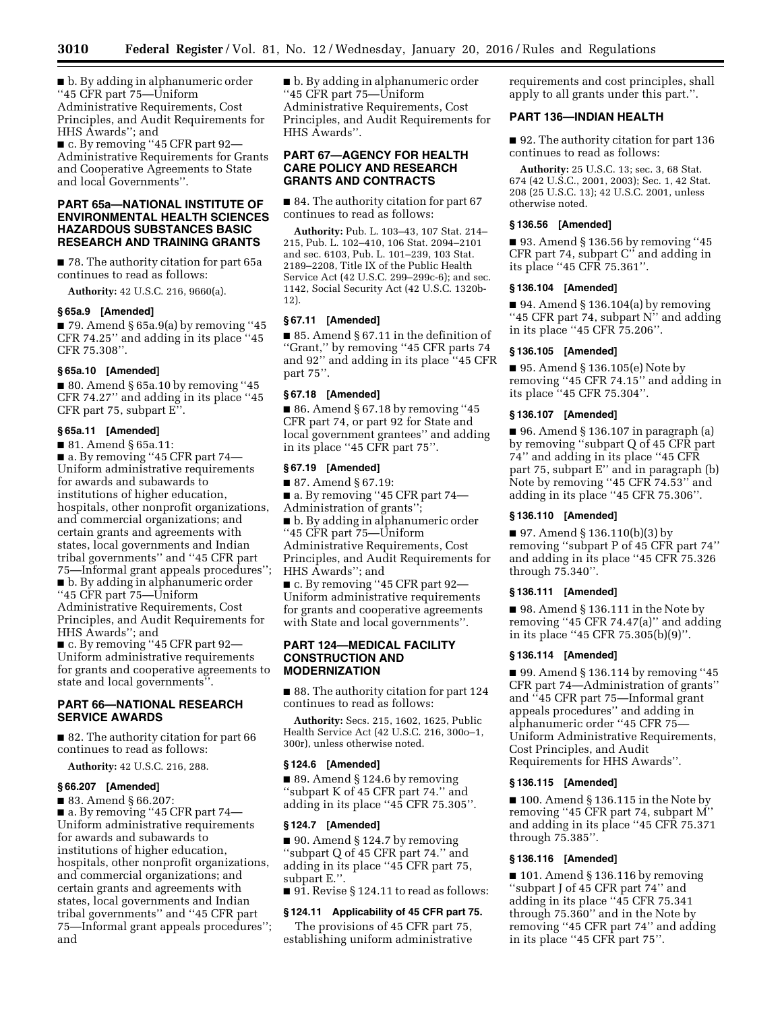■ b. By adding in alphanumeric order ''45 CFR part 75—Uniform Administrative Requirements, Cost Principles, and Audit Requirements for HHS Awards''; and

■ c. By removing "45 CFR part 92— Administrative Requirements for Grants and Cooperative Agreements to State and local Governments''.

# **PART 65a—NATIONAL INSTITUTE OF ENVIRONMENTAL HEALTH SCIENCES HAZARDOUS SUBSTANCES BASIC RESEARCH AND TRAINING GRANTS**

■ 78. The authority citation for part 65a continues to read as follows:

**Authority:** 42 U.S.C. 216, 9660(a).

#### **§ 65a.9 [Amended]**

■ 79. Amend § 65a.9(a) by removing "45 CFR 74.25'' and adding in its place ''45 CFR 75.308''.

# **§ 65a.10 [Amended]**

 $\blacksquare$  80. Amend § 65a.10 by removing "45 CFR 74.27'' and adding in its place ''45 CFR part 75, subpart E''.

## **§ 65a.11 [Amended]**

■ 81. Amend § 65a.11: ■ a. By removing "45 CFR part 74— Uniform administrative requirements for awards and subawards to institutions of higher education, hospitals, other nonprofit organizations, and commercial organizations; and certain grants and agreements with states, local governments and Indian tribal governments'' and ''45 CFR part 75—Informal grant appeals procedures''; ■ b. By adding in alphanumeric order ''45 CFR part 75—Uniform Administrative Requirements, Cost Principles, and Audit Requirements for HHS Awards''; and

■ c. By removing ''45 CFR part 92— Uniform administrative requirements for grants and cooperative agreements to state and local governments''.

# **PART 66—NATIONAL RESEARCH SERVICE AWARDS**

■ 82. The authority citation for part 66 continues to read as follows:

**Authority:** 42 U.S.C. 216, 288.

# **§ 66.207 [Amended]**

■ 83. Amend § 66.207:

■ a. By removing "45 CFR part 74— Uniform administrative requirements for awards and subawards to institutions of higher education, hospitals, other nonprofit organizations, and commercial organizations; and certain grants and agreements with states, local governments and Indian tribal governments'' and ''45 CFR part 75—Informal grant appeals procedures''; and

■ b. By adding in alphanumeric order ''45 CFR part 75—Uniform Administrative Requirements, Cost Principles, and Audit Requirements for HHS Awards''.

# **PART 67—AGENCY FOR HEALTH CARE POLICY AND RESEARCH GRANTS AND CONTRACTS**

■ 84. The authority citation for part 67 continues to read as follows:

**Authority:** Pub. L. 103–43, 107 Stat. 214– 215, Pub. L. 102–410, 106 Stat. 2094–2101 and sec. 6103, Pub. L. 101–239, 103 Stat. 2189–2208, Title IX of the Public Health Service Act (42 U.S.C. 299–299c-6); and sec. 1142, Social Security Act (42 U.S.C. 1320b-12).

## **§ 67.11 [Amended]**

■ 85. Amend § 67.11 in the definition of ''Grant,'' by removing ''45 CFR parts 74 and 92'' and adding in its place ''45 CFR part 75''.

# **§ 67.18 [Amended]**

■ 86. Amend § 67.18 by removing "45 CFR part 74, or part 92 for State and local government grantees'' and adding in its place ''45 CFR part 75''.

# **§ 67.19 [Amended]**

■ 87. Amend § 67.19:

■ a. By removing "45 CFR part 74—

Administration of grants'';

■ b. By adding in alphanumeric order ''45 CFR part 75—Uniform Administrative Requirements, Cost Principles, and Audit Requirements for HHS Awards''; and

■ c. By removing "45 CFR part 92— Uniform administrative requirements for grants and cooperative agreements with State and local governments''.

# **PART 124—MEDICAL FACILITY CONSTRUCTION AND MODERNIZATION**

■ 88. The authority citation for part 124 continues to read as follows:

**Authority:** Secs. 215, 1602, 1625, Public Health Service Act (42 U.S.C. 216, 300o–1, 300r), unless otherwise noted.

## **§ 124.6 [Amended]**

■ 89. Amend § 124.6 by removing ''subpart K of 45 CFR part 74.'' and adding in its place ''45 CFR 75.305''.

#### **§ 124.7 [Amended]**

■ 90. Amend § 124.7 by removing ''subpart Q of 45 CFR part 74.'' and adding in its place ''45 CFR part 75, subpart E.''.

■ 91. Revise § 124.11 to read as follows:

#### **§ 124.11 Applicability of 45 CFR part 75.**

The provisions of 45 CFR part 75, establishing uniform administrative requirements and cost principles, shall apply to all grants under this part.''.

# **PART 136—INDIAN HEALTH**

■ 92. The authority citation for part 136 continues to read as follows:

**Authority:** 25 U.S.C. 13; sec. 3, 68 Stat. 674 (42 U.S.C., 2001, 2003); Sec. 1, 42 Stat. 208 (25 U.S.C. 13); 42 U.S.C. 2001, unless otherwise noted.

#### **§ 136.56 [Amended]**

■ 93. Amend § 136.56 by removing "45 CFR part 74, subpart C'' and adding in its place ''45 CFR 75.361''.

## **§ 136.104 [Amended]**

 $\blacksquare$  94. Amend § 136.104(a) by removing "45 CFR part 74, subpart N" and adding in its place ''45 CFR 75.206''.

## **§ 136.105 [Amended]**

■ 95. Amend § 136.105(e) Note by removing ''45 CFR 74.15'' and adding in its place ''45 CFR 75.304''.

## **§ 136.107 [Amended]**

■ 96. Amend § 136.107 in paragraph (a) by removing ''subpart Q of 45 CFR part 74'' and adding in its place ''45 CFR part 75, subpart E'' and in paragraph (b) Note by removing ''45 CFR 74.53'' and adding in its place ''45 CFR 75.306''.

## **§ 136.110 [Amended]**

■ 97. Amend § 136.110(b)(3) by removing ''subpart P of 45 CFR part 74'' and adding in its place ''45 CFR 75.326 through 75.340''.

#### **§ 136.111 [Amended]**

 $\blacksquare$  98. Amend § 136.111 in the Note by removing ''45 CFR 74.47(a)'' and adding in its place ''45 CFR 75.305(b)(9)''.

# **§ 136.114 [Amended]**

■ 99. Amend § 136.114 by removing "45 CFR part 74—Administration of grants'' and ''45 CFR part 75—Informal grant appeals procedures'' and adding in alphanumeric order ''45 CFR 75— Uniform Administrative Requirements, Cost Principles, and Audit Requirements for HHS Awards''.

#### **§ 136.115 [Amended]**

■ 100. Amend § 136.115 in the Note by removing ''45 CFR part 74, subpart M'' and adding in its place ''45 CFR 75.371 through 75.385''.

### **§ 136.116 [Amended]**

■ 101. Amend § 136.116 by removing ''subpart J of 45 CFR part 74'' and adding in its place ''45 CFR 75.341 through 75.360'' and in the Note by removing ''45 CFR part 74'' and adding in its place ''45 CFR part 75''.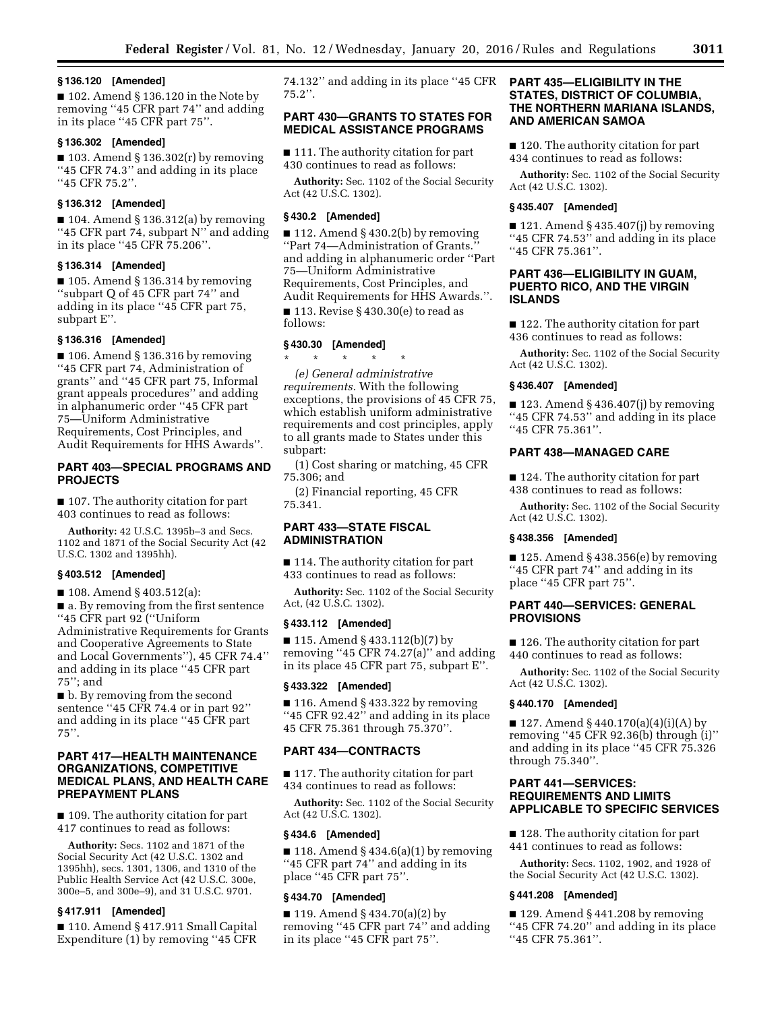## **§ 136.120 [Amended]**

■ 102. Amend § 136.120 in the Note by removing ''45 CFR part 74'' and adding in its place ''45 CFR part 75''.

# **§ 136.302 [Amended]**

 $\blacksquare$  103. Amend § 136.302(r) by removing ''45 CFR 74.3'' and adding in its place ''45 CFR 75.2''.

## **§ 136.312 [Amended]**

 $\blacksquare$  104. Amend § 136.312(a) by removing "45 CFR part 74, subpart N" and adding in its place ''45 CFR 75.206''.

# **§ 136.314 [Amended]**

 $\blacksquare$  105. Amend § 136.314 by removing ''subpart Q of 45 CFR part 74'' and adding in its place ''45 CFR part 75, subpart E''.

# **§ 136.316 [Amended]**

 $\blacksquare$  106. Amend § 136.316 by removing ''45 CFR part 74, Administration of grants'' and ''45 CFR part 75, Informal grant appeals procedures'' and adding in alphanumeric order ''45 CFR part 75—Uniform Administrative Requirements, Cost Principles, and Audit Requirements for HHS Awards''.

# **PART 403—SPECIAL PROGRAMS AND PROJECTS**

■ 107. The authority citation for part 403 continues to read as follows:

**Authority:** 42 U.S.C. 1395b–3 and Secs. 1102 and 1871 of the Social Security Act (42 U.S.C. 1302 and 1395hh).

#### **§ 403.512 [Amended]**

■ 108. Amend § 403.512(a):

■ a. By removing from the first sentence ''45 CFR part 92 (''Uniform Administrative Requirements for Grants and Cooperative Agreements to State and Local Governments''), 45 CFR 74.4'' and adding in its place ''45 CFR part 75''; and

■ b. By removing from the second sentence ''45 CFR 74.4 or in part 92'' and adding in its place ''45 CFR part  $75$ ".

# **PART 417—HEALTH MAINTENANCE ORGANIZATIONS, COMPETITIVE MEDICAL PLANS, AND HEALTH CARE PREPAYMENT PLANS**

■ 109. The authority citation for part 417 continues to read as follows:

**Authority:** Secs. 1102 and 1871 of the Social Security Act (42 U.S.C. 1302 and 1395hh), secs. 1301, 1306, and 1310 of the Public Health Service Act (42 U.S.C. 300e, 300e–5, and 300e–9), and 31 U.S.C. 9701.

## **§ 417.911 [Amended]**

■ 110. Amend § 417.911 Small Capital Expenditure (1) by removing ''45 CFR 74.132'' and adding in its place ''45 CFR  $75.2$ ".

# **PART 430—GRANTS TO STATES FOR MEDICAL ASSISTANCE PROGRAMS**

■ 111. The authority citation for part 430 continues to read as follows:

**Authority:** Sec. 1102 of the Social Security Act (42 U.S.C. 1302).

## **§ 430.2 [Amended]**

■ 112. Amend § 430.2(b) by removing ''Part 74—Administration of Grants.'' and adding in alphanumeric order ''Part 75—Uniform Administrative Requirements, Cost Principles, and Audit Requirements for HHS Awards.''.

 $\blacksquare$  113. Revise § 430.30(e) to read as follows:

# **§ 430.30 [Amended]**

\* \* \* \* \* *(e) General administrative requirements.* With the following exceptions, the provisions of 45 CFR 75, which establish uniform administrative requirements and cost principles, apply to all grants made to States under this subpart:

(1) Cost sharing or matching, 45 CFR 75.306; and

(2) Financial reporting, 45 CFR 75.341.

# **PART 433—STATE FISCAL ADMINISTRATION**

■ 114. The authority citation for part 433 continues to read as follows:

**Authority:** Sec. 1102 of the Social Security Act, (42 U.S.C. 1302).

## **§ 433.112 [Amended]**

■ 115. Amend § 433.112(b)(7) by removing ''45 CFR 74.27(a)'' and adding in its place 45 CFR part 75, subpart E''.

#### **§ 433.322 [Amended]**

 $\blacksquare$  116. Amend § 433.322 by removing ''45 CFR 92.42'' and adding in its place 45 CFR 75.361 through 75.370''.

## **PART 434—CONTRACTS**

■ 117. The authority citation for part 434 continues to read as follows:

**Authority:** Sec. 1102 of the Social Security Act (42 U.S.C. 1302).

#### **§ 434.6 [Amended]**

 $\blacksquare$  118. Amend § 434.6(a)(1) by removing ''45 CFR part 74'' and adding in its place ''45 CFR part 75''.

## **§ 434.70 [Amended]**

■ 119. Amend § 434.70(a)(2) by removing ''45 CFR part 74'' and adding in its place ''45 CFR part 75''.

# **PART 435—ELIGIBILITY IN THE STATES, DISTRICT OF COLUMBIA, THE NORTHERN MARIANA ISLANDS, AND AMERICAN SAMOA**

■ 120. The authority citation for part 434 continues to read as follows:

**Authority:** Sec. 1102 of the Social Security Act (42 U.S.C. 1302).

## **§ 435.407 [Amended]**

 $\blacksquare$  121. Amend § 435.407(j) by removing ''45 CFR 74.53'' and adding in its place ''45 CFR 75.361''.

# **PART 436—ELIGIBILITY IN GUAM, PUERTO RICO, AND THE VIRGIN ISLANDS**

■ 122. The authority citation for part 436 continues to read as follows:

**Authority:** Sec. 1102 of the Social Security Act (42 U.S.C. 1302).

## **§ 436.407 [Amended]**

 $\blacksquare$  123. Amend § 436.407(j) by removing ''45 CFR 74.53'' and adding in its place ''45 CFR 75.361''.

# **PART 438—MANAGED CARE**

■ 124. The authority citation for part 438 continues to read as follows:

**Authority:** Sec. 1102 of the Social Security Act (42 U.S.C. 1302).

# **§ 438.356 [Amended]**

 $\blacksquare$  125. Amend § 438.356(e) by removing ''45 CFR part 74'' and adding in its place ''45 CFR part 75''.

# **PART 440—SERVICES: GENERAL PROVISIONS**

■ 126. The authority citation for part 440 continues to read as follows:

**Authority:** Sec. 1102 of the Social Security Act (42 U.S.C. 1302).

# **§ 440.170 [Amended]**

■ 127. Amend § 440.170(a)(4)(i)(A) by removing ''45 CFR 92.36(b) through (i)'' and adding in its place ''45 CFR 75.326 through 75.340''.

# **PART 441—SERVICES: REQUIREMENTS AND LIMITS APPLICABLE TO SPECIFIC SERVICES**

■ 128. The authority citation for part 441 continues to read as follows:

**Authority:** Secs. 1102, 1902, and 1928 of the Social Security Act (42 U.S.C. 1302).

#### **§ 441.208 [Amended]**

■ 129. Amend § 441.208 by removing ''45 CFR 74.20'' and adding in its place ''45 CFR 75.361''.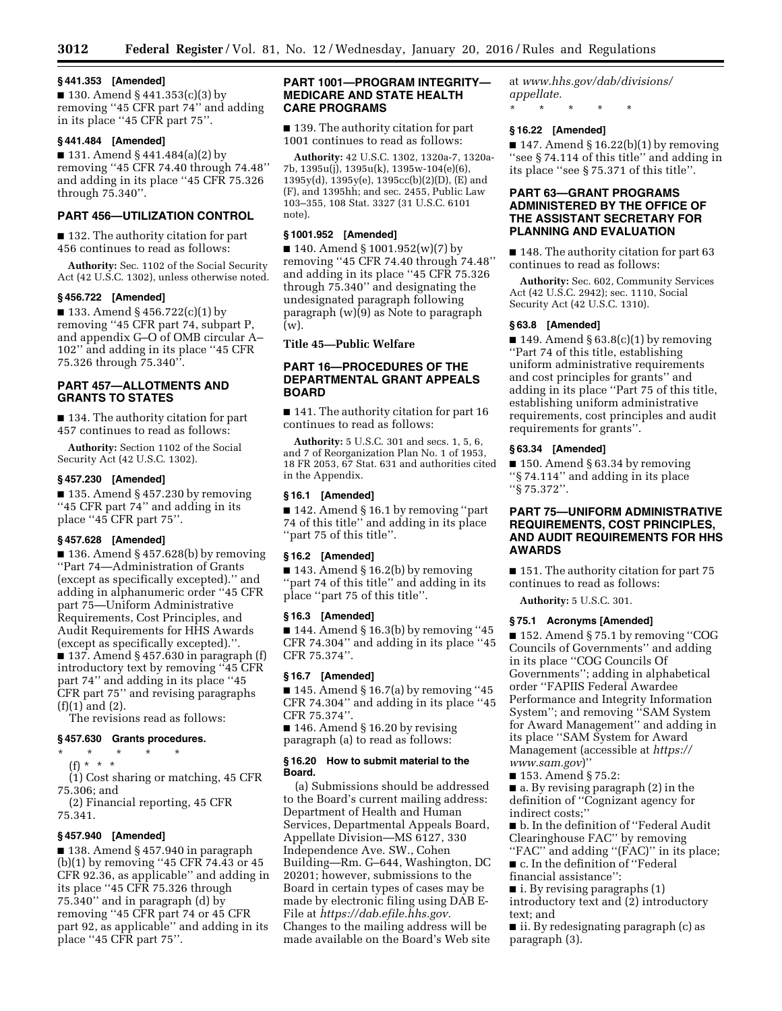## **§ 441.353 [Amended]**

■ 130. Amend § 441.353(c)(3) by removing ''45 CFR part 74'' and adding in its place ''45 CFR part 75''.

# **§ 441.484 [Amended]**

■ 131. Amend § 441.484(a)(2) by removing ''45 CFR 74.40 through 74.48'' and adding in its place ''45 CFR 75.326 through 75.340''.

# **PART 456—UTILIZATION CONTROL**

■ 132. The authority citation for part 456 continues to read as follows:

**Authority:** Sec. 1102 of the Social Security Act (42 U.S.C. 1302), unless otherwise noted.

#### **§ 456.722 [Amended]**

■ 133. Amend § 456.722(c)(1) by removing ''45 CFR part 74, subpart P, and appendix G–O of OMB circular A– 102'' and adding in its place ''45 CFR 75.326 through 75.340''.

# **PART 457—ALLOTMENTS AND GRANTS TO STATES**

■ 134. The authority citation for part 457 continues to read as follows:

**Authority:** Section 1102 of the Social Security Act (42 U.S.C. 1302).

#### **§ 457.230 [Amended]**

 $\blacksquare$  135. Amend § 457.230 by removing ''45 CFR part 74'' and adding in its place ''45 CFR part 75''.

#### **§ 457.628 [Amended]**

 $\blacksquare$  136. Amend § 457.628(b) by removing ''Part 74—Administration of Grants (except as specifically excepted).'' and adding in alphanumeric order ''45 CFR part 75—Uniform Administrative Requirements, Cost Principles, and Audit Requirements for HHS Awards (except as specifically excepted).''. ■ 137. Amend § 457.630 in paragraph (f) introductory text by removing ''45 CFR part 74'' and adding in its place ''45 CFR part 75'' and revising paragraphs (f)(1) and (2).

The revisions read as follows:

# **§ 457.630 Grants procedures.**

\* \* \* \* \* (f) \* \* \*

(1) Cost sharing or matching, 45 CFR 75.306; and

(2) Financial reporting, 45 CFR 75.341.

# **§ 457.940 [Amended]**

■ 138. Amend § 457.940 in paragraph (b)(1) by removing ''45 CFR 74.43 or 45 CFR 92.36, as applicable'' and adding in its place ''45 CFR 75.326 through  $75.340$ " and in paragraph (d) by removing ''45 CFR part 74 or 45 CFR part 92, as applicable'' and adding in its place ''45 CFR part 75''.

## **PART 1001—PROGRAM INTEGRITY— MEDICARE AND STATE HEALTH CARE PROGRAMS**

■ 139. The authority citation for part 1001 continues to read as follows:

**Authority:** 42 U.S.C. 1302, 1320a-7, 1320a-7b, 1395u(j), 1395u(k), 1395w-104(e)(6), 1395y(d), 1395y(e), 1395cc(b)(2)(D), (E) and (F), and 1395hh; and sec. 2455, Public Law 103–355, 108 Stat. 3327 (31 U.S.C. 6101 note).

## **§ 1001.952 [Amended]**

■ 140. Amend § 1001.952(w)(7) by removing ''45 CFR 74.40 through 74.48'' and adding in its place ''45 CFR 75.326 through 75.340'' and designating the undesignated paragraph following paragraph (w)(9) as Note to paragraph (w).

**Title 45—Public Welfare** 

# **PART 16—PROCEDURES OF THE DEPARTMENTAL GRANT APPEALS BOARD**

■ 141. The authority citation for part 16 continues to read as follows:

**Authority:** 5 U.S.C. 301 and secs. 1, 5, 6, and 7 of Reorganization Plan No. 1 of 1953, 18 FR 2053, 67 Stat. 631 and authorities cited in the Appendix.

## **§ 16.1 [Amended]**

■ 142. Amend § 16.1 by removing "part 74 of this title'' and adding in its place ''part 75 of this title''.

#### **§ 16.2 [Amended]**

 $\blacksquare$  143. Amend § 16.2(b) by removing ''part 74 of this title'' and adding in its place ''part 75 of this title''.

#### **§ 16.3 [Amended]**

 $\blacksquare$  144. Amend § 16.3(b) by removing "45 CFR 74.304'' and adding in its place ''45 CFR 75.374''.

## **§ 16.7 [Amended]**

 $\blacksquare$  145. Amend § 16.7(a) by removing "45 CFR 74.304'' and adding in its place ''45 CFR 75.374''.

■ 146. Amend § 16.20 by revising paragraph (a) to read as follows:

#### **§ 16.20 How to submit material to the Board.**

(a) Submissions should be addressed to the Board's current mailing address: Department of Health and Human Services, Departmental Appeals Board, Appellate Division—MS 6127, 330 Independence Ave. SW., Cohen Building—Rm. G–644, Washington, DC 20201; however, submissions to the Board in certain types of cases may be made by electronic filing using DAB E-File at *[https://dab.efile.hhs.gov.](https://dab.efile.hhs.gov)*  Changes to the mailing address will be made available on the Board's Web site

at *[www.hhs.gov/dab/divisions/](http://www.hhs.gov/dab/divisions/appellate) [appellate.](http://www.hhs.gov/dab/divisions/appellate)* 

\* \* \* \* \*

# **§ 16.22 [Amended]**

 $\blacksquare$  147. Amend § 16.22(b)(1) by removing ''see § 74.114 of this title'' and adding in its place ''see § 75.371 of this title''.

# **PART 63—GRANT PROGRAMS ADMINISTERED BY THE OFFICE OF THE ASSISTANT SECRETARY FOR PLANNING AND EVALUATION**

■ 148. The authority citation for part 63 continues to read as follows:

**Authority:** Sec. 602, Community Services Act (42 U.S.C. 2942); sec. 1110, Social Security Act (42 U.S.C. 1310).

#### **§ 63.8 [Amended]**

■ 149. Amend § 63.8 $(c)(1)$  by removing ''Part 74 of this title, establishing uniform administrative requirements and cost principles for grants'' and adding in its place ''Part 75 of this title, establishing uniform administrative requirements, cost principles and audit requirements for grants''.

## **§ 63.34 [Amended]**

■ 150. Amend § 63.34 by removing ''§ 74.114'' and adding in its place ''§ 75.372''.

# **PART 75—UNIFORM ADMINISTRATIVE REQUIREMENTS, COST PRINCIPLES, AND AUDIT REQUIREMENTS FOR HHS AWARDS**

■ 151. The authority citation for part 75 continues to read as follows:

**Authority:** 5 U.S.C. 301.

#### **§ 75.1 Acronyms [Amended]**

■ 152. Amend § 75.1 by removing "COG Councils of Governments'' and adding in its place ''COG Councils Of Governments''; adding in alphabetical order ''FAPIIS Federal Awardee Performance and Integrity Information System''; and removing ''SAM System for Award Management'' and adding in its place ''SAM System for Award Management (accessible at *[https://](https://www.sam.gov) [www.sam.gov](https://www.sam.gov)*)''

■ 153. Amend § 75.2:

■ a. By revising paragraph (2) in the definition of ''Cognizant agency for indirect costs;''

■ b. In the definition of "Federal Audit Clearinghouse FAC'' by removing "FAC" and adding "(FAC)" in its place;

■ c. In the definition of "Federal

financial assistance'':

■ i. By revising paragraphs (1)

introductory text and (2) introductory text; and

■ ii. By redesignating paragraph (c) as paragraph (3).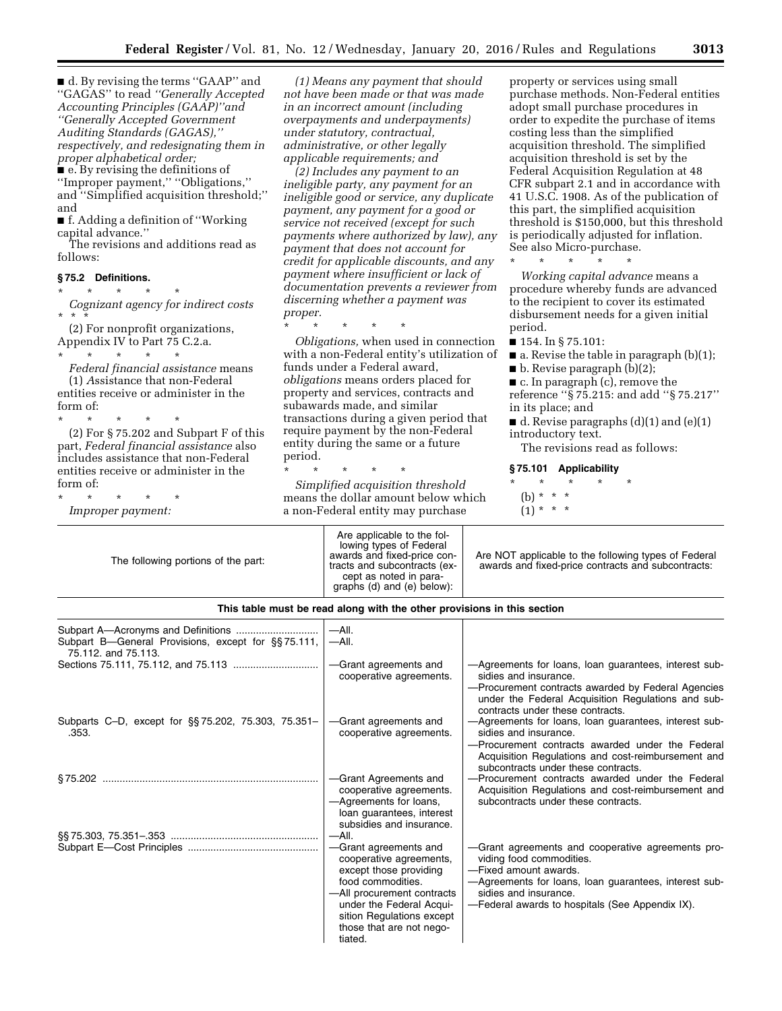■ d. By revising the terms "GAAP" and ''GAGAS'' to read *''Generally Accepted Accounting Principles (GAAP)''and ''Generally Accepted Government Auditing Standards (GAGAS),'' respectively, and redesignating them in proper alphabetical order;* 

■ e. By revising the definitions of ''Improper payment,'' ''Obligations,'' and ''Simplified acquisition threshold;'' and

■ f. Adding a definition of "Working capital advance.''

The revisions and additions read as follows:

# **§ 75.2 Definitions.**

\* \* \* \* \* *Cognizant agency for indirect costs* 

\* \* \* (2) For nonprofit organizations, Appendix IV to Part 75 C.2.a. \* \* \* \* \*

*Federal financial assistance* means (1) *A*ssistance that non-Federal entities receive or administer in the form of:

\* \* \* \* \* (2) For § 75.202 and Subpart F of this part, *Federal financial assistance* also includes assistance that non-Federal entities receive or administer in the form of:

\* \* \* \* \* *Improper payment:* 

*(1) Means any payment that should not have been made or that was made in an incorrect amount (including overpayments and underpayments) under statutory, contractual, administrative, or other legally applicable requirements; and* 

*(2) Includes any payment to an ineligible party, any payment for an ineligible good or service, any duplicate payment, any payment for a good or service not received (except for such payments where authorized by law), any payment that does not account for credit for applicable discounts, and any payment where insufficient or lack of documentation prevents a reviewer from discerning whether a payment was proper.* 

\* \* \* \* \*

*Obligations,* when used in connection with a non-Federal entity's utilization of funds under a Federal award, *obligations* means orders placed for property and services, contracts and subawards made, and similar transactions during a given period that require payment by the non-Federal entity during the same or a future period.

\* \* \* \* \*

*Simplified acquisition threshold*  means the dollar amount below which a non-Federal entity may purchase

property or services using small purchase methods. Non-Federal entities adopt small purchase procedures in order to expedite the purchase of items costing less than the simplified acquisition threshold. The simplified acquisition threshold is set by the Federal Acquisition Regulation at 48 CFR subpart 2.1 and in accordance with 41 U.S.C. 1908. As of the publication of this part, the simplified acquisition threshold is \$150,000, but this threshold is periodically adjusted for inflation. See also Micro-purchase.

\* \* \* \* \* *Working capital advance* means a procedure whereby funds are advanced to the recipient to cover its estimated disbursement needs for a given initial period.

■ 154. In § 75.101:

■ a. Revise the table in paragraph (b)(1);

 $\blacksquare$  b. Revise paragraph (b)(2);

■ c. In paragraph (c), remove the

reference ''§ 75.215: and add ''§ 75.217'' in its place; and

 $\blacksquare$  d. Revise paragraphs (d)(1) and (e)(1) introductory text.

The revisions read as follows:

#### **§ 75.101 Applicability**

- \* \* \* \* \*
- (b) \* \* \*
- $(1) * * * *$

| The following portions of the part:                                       | Are applicable to the fol-<br>lowing types of Federal<br>awards and fixed-price con-<br>tracts and subcontracts (ex-<br>cept as noted in para-<br>graphs (d) and (e) below):                                                   | Are NOT applicable to the following types of Federal<br>awards and fixed-price contracts and subcontracts:                                                                                                                                  |  |
|---------------------------------------------------------------------------|--------------------------------------------------------------------------------------------------------------------------------------------------------------------------------------------------------------------------------|---------------------------------------------------------------------------------------------------------------------------------------------------------------------------------------------------------------------------------------------|--|
| This table must be read along with the other provisions in this section   |                                                                                                                                                                                                                                |                                                                                                                                                                                                                                             |  |
| Subpart B—General Provisions, except for §§75.111,<br>75.112, and 75.113. | $-$ All.<br>$-$ All.                                                                                                                                                                                                           |                                                                                                                                                                                                                                             |  |
|                                                                           | -Grant agreements and<br>cooperative agreements.                                                                                                                                                                               | -Agreements for loans, loan guarantees, interest sub-<br>sidies and insurance.<br>-Procurement contracts awarded by Federal Agencies<br>under the Federal Acquisition Regulations and sub-<br>contracts under these contracts.              |  |
| Subparts C-D, except for §§75.202, 75.303, 75.351-<br>.353.               | -Grant agreements and<br>cooperative agreements.                                                                                                                                                                               | -Agreements for loans, loan guarantees, interest sub-<br>sidies and insurance.<br>-Procurement contracts awarded under the Federal<br>Acquisition Regulations and cost-reimbursement and<br>subcontracts under these contracts.             |  |
|                                                                           | -Grant Agreements and<br>cooperative agreements.<br>-Agreements for loans,<br>loan guarantees, interest<br>subsidies and insurance.                                                                                            | -Procurement contracts awarded under the Federal<br>Acquisition Regulations and cost-reimbursement and<br>subcontracts under these contracts.                                                                                               |  |
|                                                                           | $-$ All.<br>-Grant agreements and<br>cooperative agreements,<br>except those providing<br>food commodities.<br>-All procurement contracts<br>under the Federal Acqui-<br>sition Regulations except<br>those that are not nego- | -Grant agreements and cooperative agreements pro-<br>viding food commodities.<br>-Fixed amount awards.<br>-Agreements for loans, loan guarantees, interest sub-<br>sidies and insurance.<br>-Federal awards to hospitals (See Appendix IX). |  |

tiated.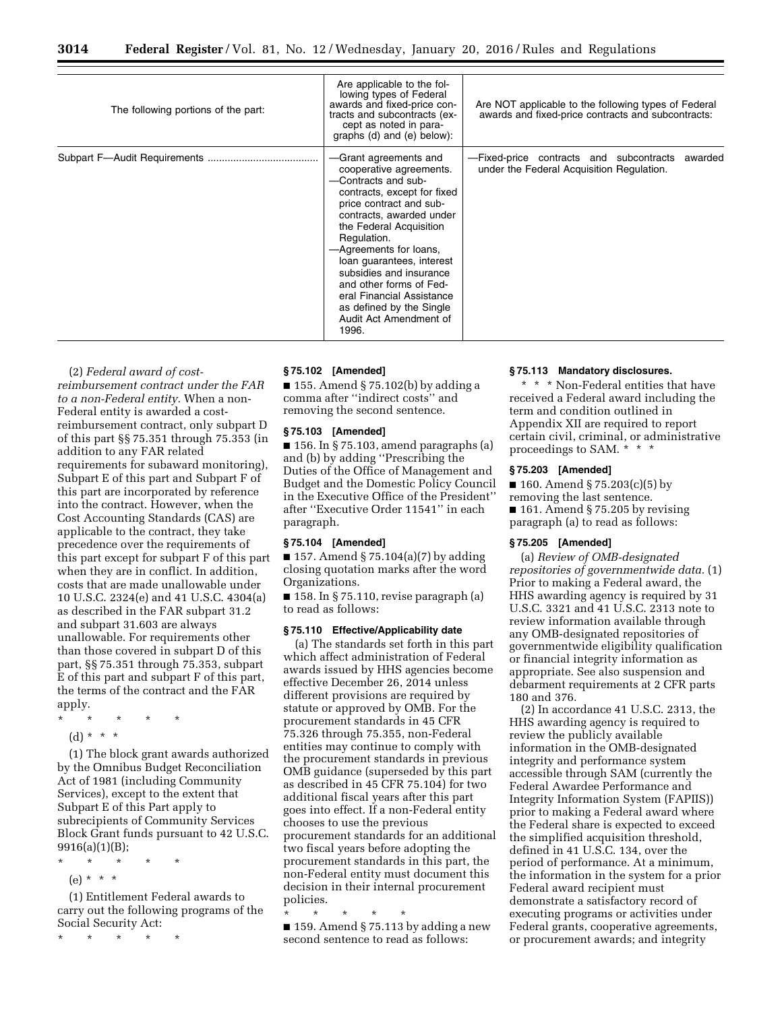| The following portions of the part: | Are applicable to the fol-<br>lowing types of Federal<br>awards and fixed-price con-<br>tracts and subcontracts (ex-<br>cept as noted in para-<br>graphs (d) and (e) below):                                                                                                                                                                                                                                     | Are NOT applicable to the following types of Federal<br>awards and fixed-price contracts and subcontracts: |
|-------------------------------------|------------------------------------------------------------------------------------------------------------------------------------------------------------------------------------------------------------------------------------------------------------------------------------------------------------------------------------------------------------------------------------------------------------------|------------------------------------------------------------------------------------------------------------|
|                                     | -Grant agreements and<br>cooperative agreements.<br>-Contracts and sub-<br>contracts, except for fixed<br>price contract and sub-<br>contracts, awarded under<br>the Federal Acquisition<br>Regulation.<br>-Agreements for loans,<br>loan guarantees, interest<br>subsidies and insurance<br>and other forms of Fed-<br>eral Financial Assistance<br>as defined by the Single<br>Audit Act Amendment of<br>1996. | -Fixed-price contracts and subcontracts<br>awarded<br>under the Federal Acquisition Regulation.            |

(2) *Federal award of costreimbursement contract under the FAR to a non-Federal entity.* When a non-Federal entity is awarded a costreimbursement contract, only subpart D of this part §§ 75.351 through 75.353 (in addition to any FAR related requirements for subaward monitoring), Subpart E of this part and Subpart F of this part are incorporated by reference into the contract. However, when the Cost Accounting Standards (CAS) are applicable to the contract, they take precedence over the requirements of this part except for subpart F of this part when they are in conflict. In addition, costs that are made unallowable under 10 U.S.C. 2324(e) and 41 U.S.C. 4304(a) as described in the FAR subpart 31.2 and subpart 31.603 are always unallowable. For requirements other than those covered in subpart D of this part, §§ 75.351 through 75.353, subpart E of this part and subpart F of this part, the terms of the contract and the FAR apply.

- \* \* \* \* \*
	- (d) \* \* \*

(1) The block grant awards authorized by the Omnibus Budget Reconciliation Act of 1981 (including Community Services), except to the extent that Subpart E of this Part apply to subrecipients of Community Services Block Grant funds pursuant to 42 U.S.C. 9916(a)(1)(B);

- \* \* \* \* \*
- (e) \* \* \*

(1) Entitlement Federal awards to carry out the following programs of the Social Security Act:

\* \* \* \* \*

# **§ 75.102 [Amended]**

 $\blacksquare$  155. Amend § 75.102(b) by adding a comma after ''indirect costs'' and removing the second sentence.

## **§ 75.103 [Amended]**

■ 156. In § 75.103, amend paragraphs (a) and (b) by adding ''Prescribing the Duties of the Office of Management and Budget and the Domestic Policy Council in the Executive Office of the President'' after ''Executive Order 11541'' in each paragraph.

#### **§ 75.104 [Amended]**

 $\blacksquare$  157. Amend § 75.104(a)(7) by adding closing quotation marks after the word Organizations.

■ 158. In § 75.110, revise paragraph (a) to read as follows:

# **§ 75.110 Effective/Applicability date**

(a) The standards set forth in this part which affect administration of Federal awards issued by HHS agencies become effective December 26, 2014 unless different provisions are required by statute or approved by OMB. For the procurement standards in 45 CFR 75.326 through 75.355, non-Federal entities may continue to comply with the procurement standards in previous OMB guidance (superseded by this part as described in 45 CFR 75.104) for two additional fiscal years after this part goes into effect. If a non-Federal entity chooses to use the previous procurement standards for an additional two fiscal years before adopting the procurement standards in this part, the non-Federal entity must document this decision in their internal procurement policies.

\* \* \* \* \*

■ 159. Amend § 75.113 by adding a new second sentence to read as follows:

# **§ 75.113 Mandatory disclosures.**

\* \* \* Non-Federal entities that have received a Federal award including the term and condition outlined in Appendix XII are required to report certain civil, criminal, or administrative proceedings to SAM. \* \* \*

## **§ 75.203 [Amended]**

■ 160. Amend § 75.203(c)(5) by removing the last sentence.  $\blacksquare$  161. Amend § 75.205 by revising paragraph (a) to read as follows:

# **§ 75.205 [Amended]**

(a) *Review of OMB-designated repositories of governmentwide data.* (1) Prior to making a Federal award, the HHS awarding agency is required by 31 U.S.C. 3321 and 41 U.S.C. 2313 note to review information available through any OMB-designated repositories of governmentwide eligibility qualification or financial integrity information as appropriate. See also suspension and debarment requirements at 2 CFR parts 180 and 376.

(2) In accordance 41 U.S.C. 2313, the HHS awarding agency is required to review the publicly available information in the OMB-designated integrity and performance system accessible through SAM (currently the Federal Awardee Performance and Integrity Information System (FAPIIS)) prior to making a Federal award where the Federal share is expected to exceed the simplified acquisition threshold, defined in 41 U.S.C. 134, over the period of performance. At a minimum, the information in the system for a prior Federal award recipient must demonstrate a satisfactory record of executing programs or activities under Federal grants, cooperative agreements, or procurement awards; and integrity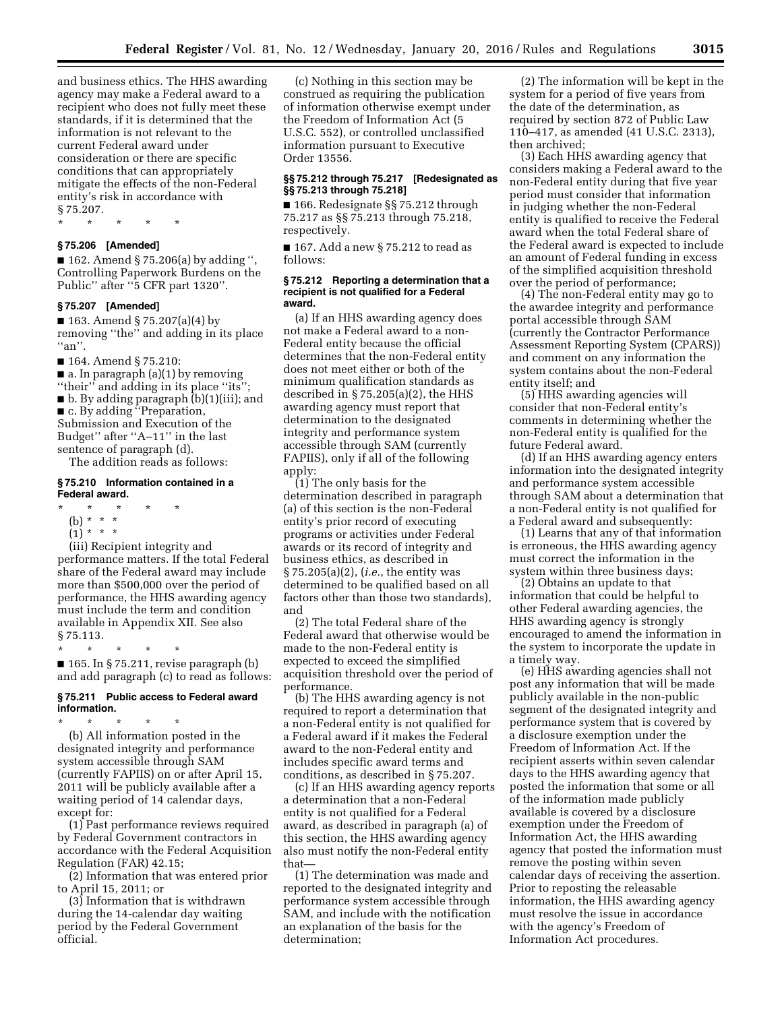and business ethics. The HHS awarding agency may make a Federal award to a recipient who does not fully meet these standards, if it is determined that the information is not relevant to the current Federal award under consideration or there are specific conditions that can appropriately mitigate the effects of the non-Federal entity's risk in accordance with § 75.207.

\* \* \* \* \*

## **§ 75.206 [Amended]**

■ 162. Amend § 75.206(a) by adding ", Controlling Paperwork Burdens on the Public'' after ''5 CFR part 1320''.

## **§ 75.207 [Amended]**

■ 163. Amend § 75.207(a)(4) by removing ''the'' and adding in its place  $"an"$ .

■ 164. Amend § 75.210:

 $\blacksquare$  a. In paragraph (a)(1) by removing ''their'' and adding in its place ''its''; ■ b. By adding paragraph (b)(1)(iii); and ■ c. By adding "Preparation, Submission and Execution of the Budget'' after ''A–11'' in the last sentence of paragraph (d). The addition reads as follows:

# **§ 75.210 Information contained in a Federal award.**

\* \* \* \* \*

- (b) \* \* \*
- $(1) * * * *$
- (iii) Recipient integrity and

performance matters. If the total Federal share of the Federal award may include more than \$500,000 over the period of performance, the HHS awarding agency must include the term and condition available in Appendix XII. See also § 75.113.

\* \* \* \* \*  $\blacksquare$  165. In § 75.211, revise paragraph (b) and add paragraph (c) to read as follows:

## **§ 75.211 Public access to Federal award information.**

\* \* \* \* \*

(b) All information posted in the designated integrity and performance system accessible through SAM (currently FAPIIS) on or after April 15, 2011 will be publicly available after a waiting period of 14 calendar days, except for:

(1) Past performance reviews required by Federal Government contractors in accordance with the Federal Acquisition Regulation (FAR) 42.15;

(2) Information that was entered prior to April 15, 2011; or

(3) Information that is withdrawn during the 14-calendar day waiting period by the Federal Government official.

(c) Nothing in this section may be construed as requiring the publication of information otherwise exempt under the Freedom of Information Act (5 U.S.C. 552), or controlled unclassified information pursuant to Executive Order 13556.

## **§§ 75.212 through 75.217 [Redesignated as §§ 75.213 through 75.218]**

■ 166. Redesignate §§ 75.212 through 75.217 as §§ 75.213 through 75.218, respectively.

■ 167. Add a new § 75.212 to read as follows:

### **§ 75.212 Reporting a determination that a recipient is not qualified for a Federal award.**

(a) If an HHS awarding agency does not make a Federal award to a non-Federal entity because the official determines that the non-Federal entity does not meet either or both of the minimum qualification standards as described in  $\S 75.205(a)(2)$ , the HHS awarding agency must report that determination to the designated integrity and performance system accessible through SAM (currently FAPIIS), only if all of the following apply:

(1) The only basis for the determination described in paragraph (a) of this section is the non-Federal entity's prior record of executing programs or activities under Federal awards or its record of integrity and business ethics, as described in § 75.205(a)(2), (*i.e.*, the entity was determined to be qualified based on all factors other than those two standards), and

(2) The total Federal share of the Federal award that otherwise would be made to the non-Federal entity is expected to exceed the simplified acquisition threshold over the period of performance.

(b) The HHS awarding agency is not required to report a determination that a non-Federal entity is not qualified for a Federal award if it makes the Federal award to the non-Federal entity and includes specific award terms and conditions, as described in § 75.207.

(c) If an HHS awarding agency reports a determination that a non-Federal entity is not qualified for a Federal award, as described in paragraph (a) of this section, the HHS awarding agency also must notify the non-Federal entity that—

(1) The determination was made and reported to the designated integrity and performance system accessible through SAM, and include with the notification an explanation of the basis for the determination;

(2) The information will be kept in the system for a period of five years from the date of the determination, as required by section 872 of Public Law 110–417, as amended (41 U.S.C. 2313), then archived;

(3) Each HHS awarding agency that considers making a Federal award to the non-Federal entity during that five year period must consider that information in judging whether the non-Federal entity is qualified to receive the Federal award when the total Federal share of the Federal award is expected to include an amount of Federal funding in excess of the simplified acquisition threshold over the period of performance;

(4) The non-Federal entity may go to the awardee integrity and performance portal accessible through SAM (currently the Contractor Performance Assessment Reporting System (CPARS)) and comment on any information the system contains about the non-Federal entity itself; and

(5) HHS awarding agencies will consider that non-Federal entity's comments in determining whether the non-Federal entity is qualified for the future Federal award.

(d) If an HHS awarding agency enters information into the designated integrity and performance system accessible through SAM about a determination that a non-Federal entity is not qualified for a Federal award and subsequently:

(1) Learns that any of that information is erroneous, the HHS awarding agency must correct the information in the system within three business days;

(2) Obtains an update to that information that could be helpful to other Federal awarding agencies, the HHS awarding agency is strongly encouraged to amend the information in the system to incorporate the update in a timely way.

(e) HHS awarding agencies shall not post any information that will be made publicly available in the non-public segment of the designated integrity and performance system that is covered by a disclosure exemption under the Freedom of Information Act. If the recipient asserts within seven calendar days to the HHS awarding agency that posted the information that some or all of the information made publicly available is covered by a disclosure exemption under the Freedom of Information Act, the HHS awarding agency that posted the information must remove the posting within seven calendar days of receiving the assertion. Prior to reposting the releasable information, the HHS awarding agency must resolve the issue in accordance with the agency's Freedom of Information Act procedures.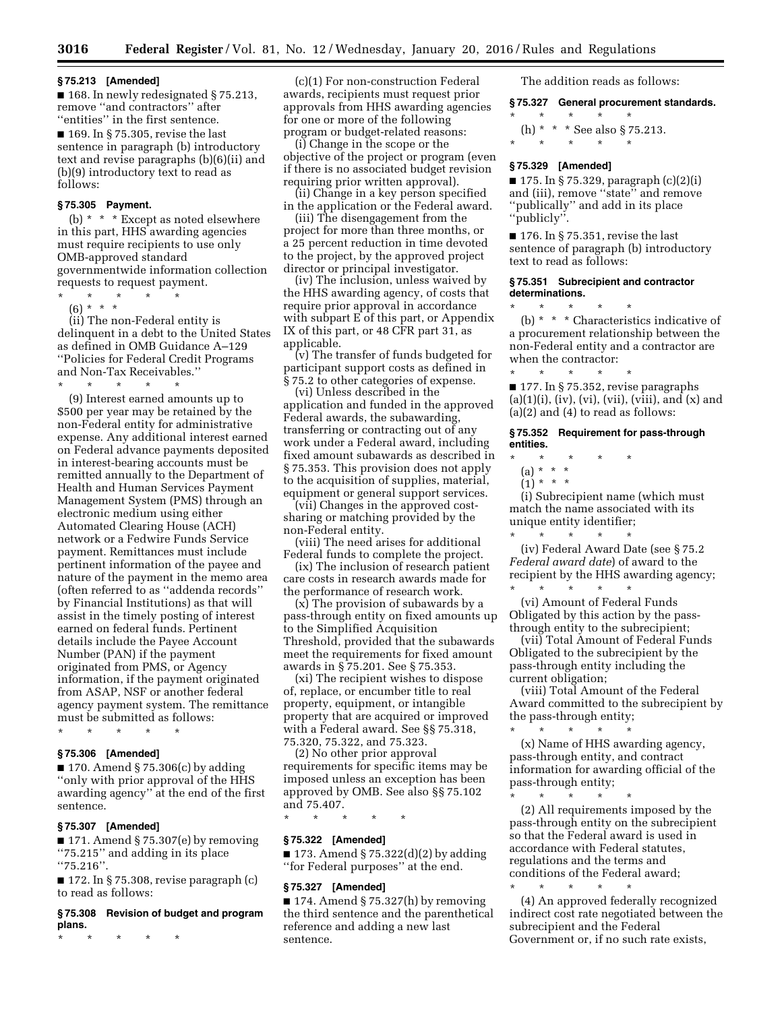#### **§ 75.213 [Amended]**

■ 168. In newly redesignated § 75.213, remove ''and contractors'' after ''entities'' in the first sentence.

■ 169. In § 75.305, revise the last sentence in paragraph (b) introductory text and revise paragraphs (b)(6)(ii) and (b)(9) introductory text to read as follows:

# **§ 75.305 Payment.**

(b) \* \* \* Except as noted elsewhere in this part, HHS awarding agencies must require recipients to use only OMB-approved standard governmentwide information collection requests to request payment.

\* \* \* \* \*

(6) \* \* \* (ii) The non-Federal entity is delinquent in a debt to the United States as defined in OMB Guidance A–129 ''Policies for Federal Credit Programs and Non-Tax Receivables.''

\* \* \* \* \*

(9) Interest earned amounts up to \$500 per year may be retained by the non-Federal entity for administrative expense. Any additional interest earned on Federal advance payments deposited in interest-bearing accounts must be remitted annually to the Department of Health and Human Services Payment Management System (PMS) through an electronic medium using either Automated Clearing House (ACH) network or a Fedwire Funds Service payment. Remittances must include pertinent information of the payee and nature of the payment in the memo area (often referred to as ''addenda records'' by Financial Institutions) as that will assist in the timely posting of interest earned on federal funds. Pertinent details include the Payee Account Number (PAN) if the payment originated from PMS, or Agency information, if the payment originated from ASAP, NSF or another federal agency payment system. The remittance must be submitted as follows:

# \* \* \* \* \*

# **§ 75.306 [Amended]**

 $\blacksquare$  170. Amend § 75.306(c) by adding ''only with prior approval of the HHS awarding agency'' at the end of the first sentence.

# **§ 75.307 [Amended]**

 $\blacksquare$  171. Amend § 75.307(e) by removing ''75.215'' and adding in its place ''75.216''.

 $\blacksquare$  172. In § 75.308, revise paragraph (c) to read as follows:

## **§ 75.308 Revision of budget and program plans.**

\* \* \* \* \*

(c)(1) For non-construction Federal awards, recipients must request prior approvals from HHS awarding agencies for one or more of the following program or budget-related reasons:

(i) Change in the scope or the objective of the project or program (even if there is no associated budget revision requiring prior written approval).

(ii) Change in a key person specified in the application or the Federal award.

(iii) The disengagement from the project for more than three months, or a 25 percent reduction in time devoted to the project, by the approved project director or principal investigator.

(iv) The inclusion, unless waived by the HHS awarding agency, of costs that require prior approval in accordance with subpart E of this part, or Appendix IX of this part, or 48 CFR part 31, as applicable.

(v) The transfer of funds budgeted for participant support costs as defined in § 75.2 to other categories of expense.

(vi) Unless described in the application and funded in the approved Federal awards, the subawarding, transferring or contracting out of any work under a Federal award, including fixed amount subawards as described in § 75.353. This provision does not apply to the acquisition of supplies, material, equipment or general support services.

(vii) Changes in the approved costsharing or matching provided by the non-Federal entity.

(viii) The need arises for additional Federal funds to complete the project.

(ix) The inclusion of research patient care costs in research awards made for the performance of research work.

(x) The provision of subawards by a pass-through entity on fixed amounts up to the Simplified Acquisition Threshold, provided that the subawards meet the requirements for fixed amount awards in § 75.201. See § 75.353.

(xi) The recipient wishes to dispose of, replace, or encumber title to real property, equipment, or intangible property that are acquired or improved with a Federal award. See §§ 75.318, 75.320, 75.322, and 75.323.

(2) No other prior approval requirements for specific items may be imposed unless an exception has been approved by OMB. See also §§ 75.102 and 75.407.

\* \* \* \* \*

# **§ 75.322 [Amended]**

 $\blacksquare$  173. Amend § 75.322(d)(2) by adding ''for Federal purposes'' at the end.

#### **§ 75.327 [Amended]**

 $\blacksquare$  174. Amend § 75.327(h) by removing the third sentence and the parenthetical reference and adding a new last sentence.

The addition reads as follows:

# **§ 75.327 General procurement standards.**

\* \* \* \* \* (h) \* \* \* See also § 75.213. \* \* \* \* \*

# **§ 75.329 [Amended]**

■ 175. In § 75.329, paragraph (c)(2)(i) and (iii), remove ''state'' and remove ''publically'' and add in its place "publicly".

 $\blacksquare$  176. In § 75.351, revise the last sentence of paragraph (b) introductory text to read as follows:

## **§ 75.351 Subrecipient and contractor determinations.**

\* \* \* \* \* (b) \* \* \* Characteristics indicative of a procurement relationship between the non-Federal entity and a contractor are when the contractor:

\* \* \* \* \* ■ 177. In § 75.352, revise paragraphs  $(a)(1)(i)$ ,  $(iv)$ ,  $(vi)$ ,  $(vii)$ ,  $(viii)$ , and  $(x)$  and (a)(2) and (4) to read as follows:

**§ 75.352 Requirement for pass-through entities.** 

- \* \* \* \* \*
	- (a) \* \* \*
	- $(1) * * * *$

(i) Subrecipient name (which must match the name associated with its unique entity identifier;

\* \* \* \* \* (iv) Federal Award Date (see § 75.2 *Federal award date*) of award to the recipient by the HHS awarding agency;  $\star$   $\star$   $\star$ 

(vi) Amount of Federal Funds Obligated by this action by the passthrough entity to the subrecipient;

(vii) Total Amount of Federal Funds Obligated to the subrecipient by the pass-through entity including the current obligation;

(viii) Total Amount of the Federal Award committed to the subrecipient by the pass-through entity;

\* \* \* \* \* (x) Name of HHS awarding agency, pass-through entity, and contract information for awarding official of the pass-through entity;

\* \* \* \* \* (2) All requirements imposed by the pass-through entity on the subrecipient so that the Federal award is used in accordance with Federal statutes, regulations and the terms and conditions of the Federal award; \* \* \* \* \*

(4) An approved federally recognized indirect cost rate negotiated between the subrecipient and the Federal Government or, if no such rate exists,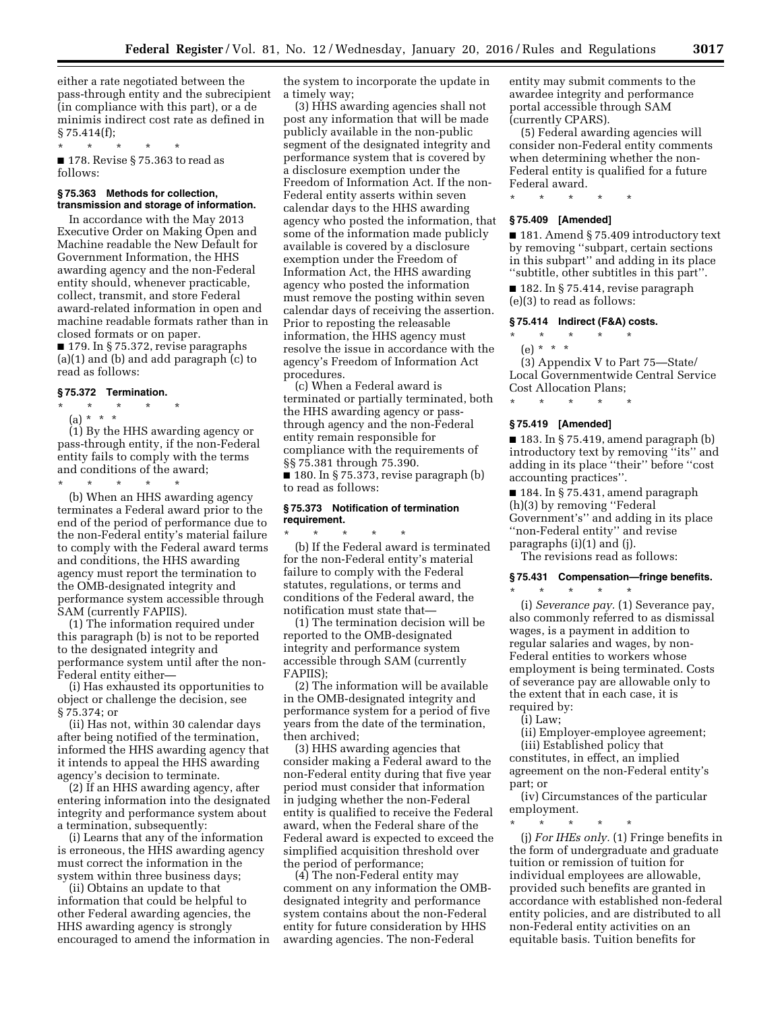either a rate negotiated between the pass-through entity and the subrecipient (in compliance with this part), or a de minimis indirect cost rate as defined in  $§ 75.414(f);$ 

\* \* \* \* \*

■ 178. Revise § 75.363 to read as follows:

### **§ 75.363 Methods for collection, transmission and storage of information.**

In accordance with the May 2013 Executive Order on Making Open and Machine readable the New Default for Government Information, the HHS awarding agency and the non-Federal entity should, whenever practicable, collect, transmit, and store Federal award-related information in open and machine readable formats rather than in closed formats or on paper.

■ 179. In § 75.372, revise paragraphs (a)(1) and (b) and add paragraph (c) to read as follows:

# **§ 75.372 Termination.**

\* \* \* \* \*

(a) \* \* \*

(1) By the HHS awarding agency or pass-through entity, if the non-Federal entity fails to comply with the terms and conditions of the award;

\* \* \* \* \*

(b) When an HHS awarding agency terminates a Federal award prior to the end of the period of performance due to the non-Federal entity's material failure to comply with the Federal award terms and conditions, the HHS awarding agency must report the termination to the OMB-designated integrity and performance system accessible through SAM (currently FAPIIS).

(1) The information required under this paragraph (b) is not to be reported to the designated integrity and performance system until after the non-Federal entity either—

(i) Has exhausted its opportunities to object or challenge the decision, see § 75.374; or

(ii) Has not, within 30 calendar days after being notified of the termination, informed the HHS awarding agency that it intends to appeal the HHS awarding agency's decision to terminate.

(2) If an HHS awarding agency, after entering information into the designated integrity and performance system about a termination, subsequently:

(i) Learns that any of the information is erroneous, the HHS awarding agency must correct the information in the system within three business days;

(ii) Obtains an update to that information that could be helpful to other Federal awarding agencies, the HHS awarding agency is strongly encouraged to amend the information in

the system to incorporate the update in a timely way;

(3) HHS awarding agencies shall not post any information that will be made publicly available in the non-public segment of the designated integrity and performance system that is covered by a disclosure exemption under the Freedom of Information Act. If the non-Federal entity asserts within seven calendar days to the HHS awarding agency who posted the information, that some of the information made publicly available is covered by a disclosure exemption under the Freedom of Information Act, the HHS awarding agency who posted the information must remove the posting within seven calendar days of receiving the assertion. Prior to reposting the releasable information, the HHS agency must resolve the issue in accordance with the agency's Freedom of Information Act procedures.

(c) When a Federal award is terminated or partially terminated, both the HHS awarding agency or passthrough agency and the non-Federal entity remain responsible for compliance with the requirements of §§ 75.381 through 75.390.

 $\blacksquare$  180. In § 75.373, revise paragraph (b) to read as follows:

## **§ 75.373 Notification of termination requirement.**

\* \* \* \* \* (b) If the Federal award is terminated for the non-Federal entity's material failure to comply with the Federal statutes, regulations, or terms and conditions of the Federal award, the notification must state that—

(1) The termination decision will be reported to the OMB-designated integrity and performance system accessible through SAM (currently FAPIIS);

(2) The information will be available in the OMB-designated integrity and performance system for a period of five years from the date of the termination, then archived;

(3) HHS awarding agencies that consider making a Federal award to the non-Federal entity during that five year period must consider that information in judging whether the non-Federal entity is qualified to receive the Federal award, when the Federal share of the Federal award is expected to exceed the simplified acquisition threshold over the period of performance;

(4) The non-Federal entity may comment on any information the OMBdesignated integrity and performance system contains about the non-Federal entity for future consideration by HHS awarding agencies. The non-Federal

entity may submit comments to the awardee integrity and performance portal accessible through SAM (currently CPARS).

(5) Federal awarding agencies will consider non-Federal entity comments when determining whether the non-Federal entity is qualified for a future Federal award.

\* \* \* \* \*

# **§ 75.409 [Amended]**

■ 181. Amend § 75.409 introductory text by removing ''subpart, certain sections in this subpart'' and adding in its place ''subtitle, other subtitles in this part''.

■ 182. In § 75.414, revise paragraph (e)(3) to read as follows:

## **§ 75.414 Indirect (F&A) costs.**

\* \* \* \* \* (e) \* \* \*

(3) Appendix V to Part 75—State/ Local Governmentwide Central Service Cost Allocation Plans;

#### **§ 75.419 [Amended]**

\* \* \* \* \*

■ 183. In § 75.419, amend paragraph (b) introductory text by removing ''its'' and adding in its place ''their'' before ''cost accounting practices''.

 $\blacksquare$ <br> 184. In § 75.431, amend paragraph (h)(3) by removing ''Federal Government's'' and adding in its place ''non-Federal entity'' and revise paragraphs (i)(1) and (j).

The revisions read as follows:

# **§ 75.431 Compensation—fringe benefits.**  \* \* \* \* \*

(i) *Severance pay.* (1) Severance pay, also commonly referred to as dismissal wages, is a payment in addition to regular salaries and wages, by non-Federal entities to workers whose employment is being terminated. Costs of severance pay are allowable only to the extent that in each case, it is required by:

(i) Law;

(ii) Employer-employee agreement; (iii) Established policy that constitutes, in effect, an implied

agreement on the non-Federal entity's part; or

(iv) Circumstances of the particular employment.

\* \* \* \* \* (j) *For IHEs only.* (1) Fringe benefits in the form of undergraduate and graduate tuition or remission of tuition for individual employees are allowable, provided such benefits are granted in accordance with established non-federal entity policies, and are distributed to all non-Federal entity activities on an equitable basis. Tuition benefits for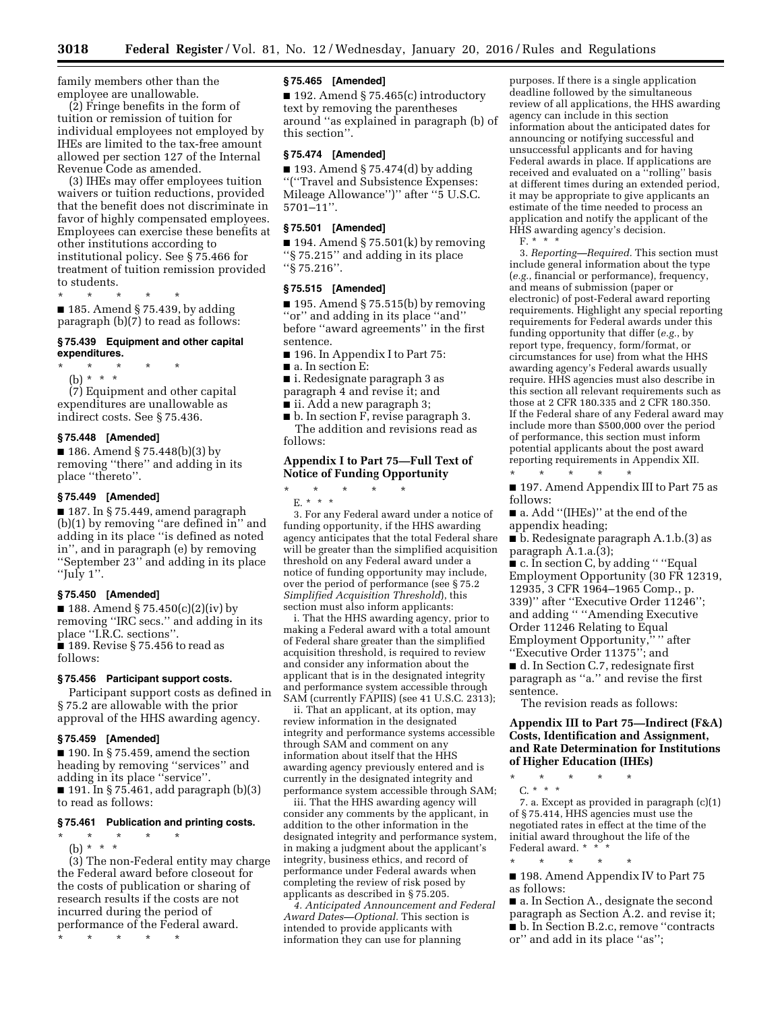family members other than the employee are unallowable.

(2) Fringe benefits in the form of tuition or remission of tuition for individual employees not employed by IHEs are limited to the tax-free amount allowed per section 127 of the Internal Revenue Code as amended.

(3) IHEs may offer employees tuition waivers or tuition reductions, provided that the benefit does not discriminate in favor of highly compensated employees. Employees can exercise these benefits at other institutions according to institutional policy. See § 75.466 for treatment of tuition remission provided to students.

\* \* \* \* \*

■ 185. Amend § 75.439, by adding paragraph (b)(7) to read as follows:

#### **§ 75.439 Equipment and other capital expenditures.**

\* \* \* \* \*

(b) \* \* \* (7) Equipment and other capital expenditures are unallowable as indirect costs. See § 75.436.

## **§ 75.448 [Amended]**

■ 186. Amend § 75.448(b)(3) by removing ''there'' and adding in its place ''thereto''.

# **§ 75.449 [Amended]**

■ 187. In § 75.449, amend paragraph (b)(1) by removing ''are defined in'' and adding in its place ''is defined as noted in'', and in paragraph (e) by removing ''September 23'' and adding in its place ''July 1''.

## **§ 75.450 [Amended]**

■ 188. Amend § 75.450(c)(2)(iv) by removing ''IRC secs.'' and adding in its place ''I.R.C. sections''.

 $\blacksquare$  189. Revise § 75.456 to read as follows:

#### **§ 75.456 Participant support costs.**

Participant support costs as defined in § 75.2 are allowable with the prior approval of the HHS awarding agency.

## **§ 75.459 [Amended]**

 $\blacksquare$  190. In § 75.459, amend the section heading by removing ''services'' and adding in its place ''service''. ■ 191. In § 75.461, add paragraph (b)(3) to read as follows:

# **§ 75.461 Publication and printing costs.**

\* \* \* \* \*

(b) \* \* \* (3) The non-Federal entity may charge the Federal award before closeout for the costs of publication or sharing of research results if the costs are not incurred during the period of performance of the Federal award. \* \* \* \* \*

## **§ 75.465 [Amended]**

■ 192. Amend § 75.465(c) introductory text by removing the parentheses around ''as explained in paragraph (b) of this section''.

# **§ 75.474 [Amended]**

 $\blacksquare$  193. Amend § 75.474(d) by adding ''(''Travel and Subsistence Expenses: Mileage Allowance'')'' after ''5 U.S.C. 5701–11''.

#### **§ 75.501 [Amended]**

 $\blacksquare$  194. Amend § 75.501(k) by removing ''§ 75.215'' and adding in its place ''§ 75.216''.

#### **§ 75.515 [Amended]**

 $\blacksquare$  195. Amend § 75.515(b) by removing ''or'' and adding in its place ''and'' before ''award agreements'' in the first sentence.

- 196. In Appendix I to Part 75:
- a. In section E:

■ i. Redesignate paragraph 3 as

- paragraph 4 and revise it; and
- ii. Add a new paragraph 3;

■ b. In section F, revise paragraph 3. The addition and revisions read as follows:

# **Appendix I to Part 75—Full Text of Notice of Funding Opportunity**

\* \* \* \* \* E. \* \* \*

3. For any Federal award under a notice of funding opportunity, if the HHS awarding agency anticipates that the total Federal share will be greater than the simplified acquisition threshold on any Federal award under a notice of funding opportunity may include, over the period of performance (see § 75.2 *Simplified Acquisition Threshold*), this section must also inform applicants:

i. That the HHS awarding agency, prior to making a Federal award with a total amount of Federal share greater than the simplified acquisition threshold, is required to review and consider any information about the applicant that is in the designated integrity and performance system accessible through SAM (currently FAPIIS) (see 41 U.S.C. 2313);

ii. That an applicant, at its option, may review information in the designated integrity and performance systems accessible through SAM and comment on any information about itself that the HHS awarding agency previously entered and is currently in the designated integrity and performance system accessible through SAM;

iii. That the HHS awarding agency will consider any comments by the applicant, in addition to the other information in the designated integrity and performance system, in making a judgment about the applicant's integrity, business ethics, and record of performance under Federal awards when completing the review of risk posed by applicants as described in § 75.205.

*4. Anticipated Announcement and Federal Award Dates—Optional.* This section is intended to provide applicants with information they can use for planning

purposes. If there is a single application deadline followed by the simultaneous review of all applications, the HHS awarding agency can include in this section information about the anticipated dates for announcing or notifying successful and unsuccessful applicants and for having Federal awards in place. If applications are received and evaluated on a ''rolling'' basis at different times during an extended period, it may be appropriate to give applicants an estimate of the time needed to process an application and notify the applicant of the HHS awarding agency's decision. F. \* \* \*

3. *Reporting—Required.* This section must include general information about the type (*e.g.*, financial or performance), frequency, and means of submission (paper or electronic) of post-Federal award reporting requirements. Highlight any special reporting requirements for Federal awards under this funding opportunity that differ (*e.g.*, by report type, frequency, form/format, or circumstances for use) from what the HHS awarding agency's Federal awards usually require. HHS agencies must also describe in this section all relevant requirements such as those at 2 CFR 180.335 and 2 CFR 180.350. If the Federal share of any Federal award may include more than \$500,000 over the period of performance, this section must inform potential applicants about the post award reporting requirements in Appendix XII.

\* \* \* \* \* ■ 197. Amend Appendix III to Part 75 as follows:

■ a. Add ''(IHEs)'' at the end of the appendix heading;

■ b. Redesignate paragraph A.1.b.(3) as paragraph A.1.a.(3);

■ c. In section C, by adding " "Equal Employment Opportunity (30 FR 12319, 12935, 3 CFR 1964–1965 Comp., p. 339)'' after ''Executive Order 11246''; and adding '' ''Amending Executive Order 11246 Relating to Equal Employment Opportunity,"" after ''Executive Order 11375''; and

■ d. In Section C.7, redesignate first paragraph as ''a.'' and revise the first sentence.

The revision reads as follows:

**Appendix III to Part 75—Indirect (F&A) Costs, Identification and Assignment, and Rate Determination for Institutions of Higher Education (IHEs)** 

\* \* \* \* \* C. \* \* \*

7. a. Except as provided in paragraph (c)(1) of § 75.414, HHS agencies must use the negotiated rates in effect at the time of the initial award throughout the life of the Federal award. \* \* \*

\* \* \* \* \* ■ 198. Amend Appendix IV to Part 75 as follows:

■ a. In Section A., designate the second paragraph as Section A.2. and revise it;

■ b. In Section B.2.c, remove "contracts or'' and add in its place ''as'';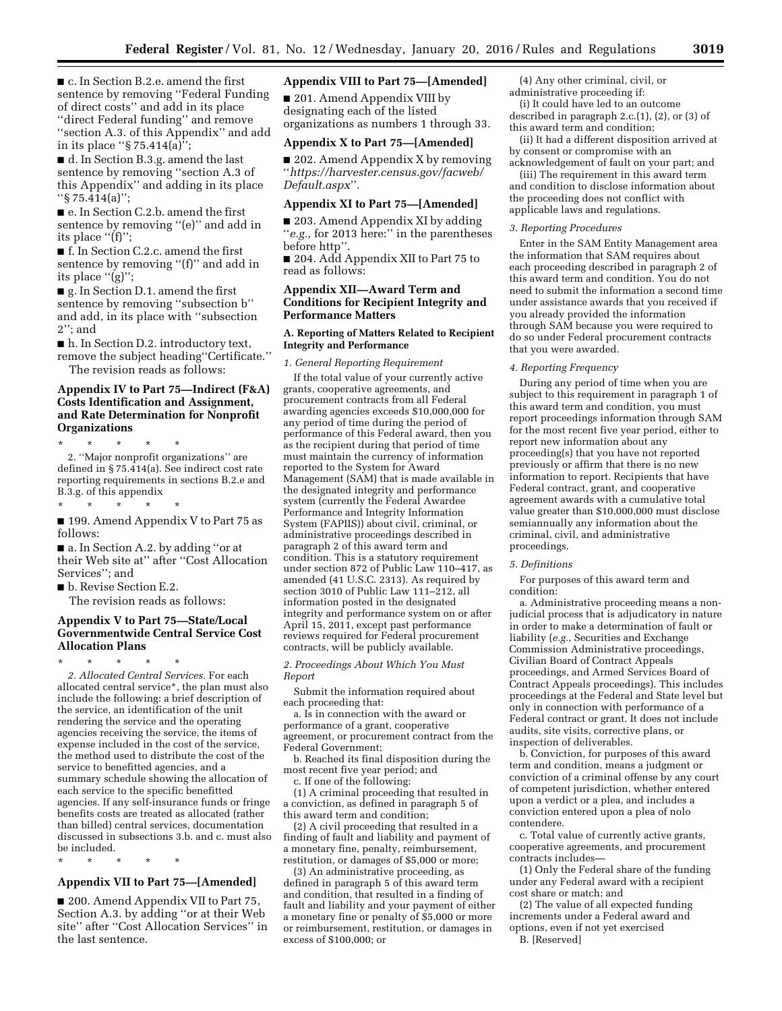■ c. In Section B.2.e. amend the first sentence by removing ''Federal Funding of direct costs'' and add in its place ''direct Federal funding'' and remove ''section A.3. of this Appendix'' and add in its place ''§ 75.414(a)'';

■ d. In Section B.3.g. amend the last sentence by removing ''section A.3 of this Appendix'' and adding in its place ''§ 75.414(a)'';

■ e. In Section C.2.b. amend the first sentence by removing ''(e)'' and add in its place "(f)";

■ f. In Section C.2.c. amend the first sentence by removing "(f)" and add in its place "(g)";

■ g. In Section D.1. amend the first sentence by removing ''subsection b'' and add, in its place with ''subsection 2''; and

■ h. In Section D.2. introductory text, remove the subject heading''Certificate.''

The revision reads as follows:

# **Appendix IV to Part 75—Indirect (F&A) Costs Identification and Assignment, and Rate Determination for Nonprofit Organizations**

\* \* \* \* \* 2. ''Major nonprofit organizations'' are defined in § 75.414(a). See indirect cost rate reporting requirements in sections B.2.e and B.3.g. of this appendix

\* \* \* \* \*

## ■ 199. Amend Appendix V to Part 75 as follows:

■ a. In Section A.2. by adding "or at their Web site at'' after ''Cost Allocation Services''; and

■ b. Revise Section E.2.

The revision reads as follows:

# **Appendix V to Part 75—State/Local Governmentwide Central Service Cost Allocation Plans**

\* \* \* \* \* *2. Allocated Central Services.* For each allocated central service\*, the plan must also include the following: a brief description of the service, an identification of the unit rendering the service and the operating agencies receiving the service, the items of expense included in the cost of the service, the method used to distribute the cost of the service to benefitted agencies, and a summary schedule showing the allocation of each service to the specific benefitted agencies. If any self-insurance funds or fringe benefits costs are treated as allocated (rather than billed) central services, documentation discussed in subsections 3.b. and c. must also be included.

\* \* \* \* \*

# **Appendix VII to Part 75—[Amended]**

■ 200. Amend Appendix VII to Part 75, Section A.3. by adding ''or at their Web site'' after ''Cost Allocation Services'' in the last sentence.

## **Appendix VIII to Part 75—[Amended]**

■ 201. Amend Appendix VIII by designating each of the listed organizations as numbers 1 through 33.

#### **Appendix X to Part 75—[Amended]**

■ 202. Amend Appendix X by removing ''*[https://harvester.census.gov/facweb/](https://harvester.census.gov/facweb/Default.aspx) [Default.aspx](https://harvester.census.gov/facweb/Default.aspx)*''.

## **Appendix XI to Part 75—[Amended]**

■ 203. Amend Appendix XI by adding ''*e.g.,* for 2013 here:'' in the parentheses before http''.

■ 204. Add Appendix XII to Part 75 to read as follows:

# **Appendix XII—Award Term and Conditions for Recipient Integrity and Performance Matters**

## **A. Reporting of Matters Related to Recipient Integrity and Performance**

*1. General Reporting Requirement* 

If the total value of your currently active grants, cooperative agreements, and procurement contracts from all Federal awarding agencies exceeds \$10,000,000 for any period of time during the period of performance of this Federal award, then you as the recipient during that period of time must maintain the currency of information reported to the System for Award Management (SAM) that is made available in the designated integrity and performance system (currently the Federal Awardee Performance and Integrity Information System (FAPIIS)) about civil, criminal, or administrative proceedings described in paragraph 2 of this award term and condition. This is a statutory requirement under section 872 of Public Law 110–417, as amended (41 U.S.C. 2313). As required by section 3010 of Public Law  $111-212$ , all information posted in the designated integrity and performance system on or after April 15, 2011, except past performance reviews required for Federal procurement contracts, will be publicly available.

*2. Proceedings About Which You Must Report* 

Submit the information required about each proceeding that:

a. Is in connection with the award or performance of a grant, cooperative agreement, or procurement contract from the Federal Government;

b. Reached its final disposition during the most recent five year period; and

c. If one of the following:

(1) A criminal proceeding that resulted in a conviction, as defined in paragraph 5 of this award term and condition;

(2) A civil proceeding that resulted in a finding of fault and liability and payment of a monetary fine, penalty, reimbursement, restitution, or damages of \$5,000 or more;

(3) An administrative proceeding, as defined in paragraph 5 of this award term and condition, that resulted in a finding of fault and liability and your payment of either a monetary fine or penalty of \$5,000 or more or reimbursement, restitution, or damages in excess of \$100,000; or

(4) Any other criminal, civil, or

administrative proceeding if: (i) It could have led to an outcome

described in paragraph 2.c.(1), (2), or (3) of this award term and condition;

(ii) It had a different disposition arrived at by consent or compromise with an acknowledgement of fault on your part; and

(iii) The requirement in this award term and condition to disclose information about the proceeding does not conflict with applicable laws and regulations.

#### *3. Reporting Procedures*

Enter in the SAM Entity Management area the information that SAM requires about each proceeding described in paragraph 2 of this award term and condition. You do not need to submit the information a second time under assistance awards that you received if you already provided the information through SAM because you were required to do so under Federal procurement contracts that you were awarded.

#### *4. Reporting Frequency*

During any period of time when you are subject to this requirement in paragraph 1 of this award term and condition, you must report proceedings information through SAM for the most recent five year period, either to report new information about any proceeding(s) that you have not reported previously or affirm that there is no new information to report. Recipients that have Federal contract, grant, and cooperative agreement awards with a cumulative total value greater than \$10,000,000 must disclose semiannually any information about the criminal, civil, and administrative proceedings.

#### *5. Definitions*

For purposes of this award term and condition:

a. Administrative proceeding means a nonjudicial process that is adjudicatory in nature in order to make a determination of fault or liability (*e.g.*, Securities and Exchange Commission Administrative proceedings, Civilian Board of Contract Appeals proceedings, and Armed Services Board of Contract Appeals proceedings). This includes proceedings at the Federal and State level but only in connection with performance of a Federal contract or grant. It does not include audits, site visits, corrective plans, or inspection of deliverables.

b. Conviction, for purposes of this award term and condition, means a judgment or conviction of a criminal offense by any court of competent jurisdiction, whether entered upon a verdict or a plea, and includes a conviction entered upon a plea of nolo contendere.

c. Total value of currently active grants, cooperative agreements, and procurement contracts includes—

(1) Only the Federal share of the funding under any Federal award with a recipient cost share or match; and

(2) The value of all expected funding increments under a Federal award and options, even if not yet exercised B. [Reserved]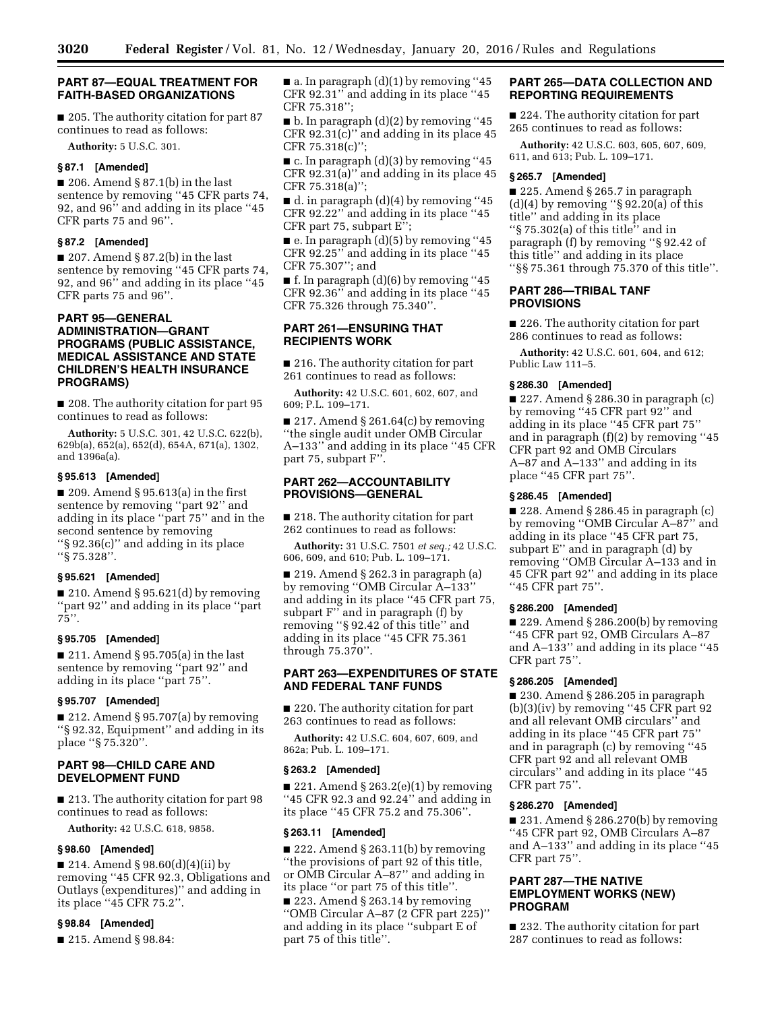## **PART 87—EQUAL TREATMENT FOR FAITH-BASED ORGANIZATIONS**

■ 205. The authority citation for part 87 continues to read as follows:

**Authority:** 5 U.S.C. 301.

# **§ 87.1 [Amended]**

■ 206. Amend § 87.1(b) in the last sentence by removing ''45 CFR parts 74, 92, and 96'' and adding in its place ''45 CFR parts 75 and 96''.

### **§ 87.2 [Amended]**

 $\blacksquare$  207. Amend § 87.2(b) in the last sentence by removing ''45 CFR parts 74, 92, and 96'' and adding in its place ''45 CFR parts 75 and 96''.

# **PART 95—GENERAL ADMINISTRATION—GRANT PROGRAMS (PUBLIC ASSISTANCE, MEDICAL ASSISTANCE AND STATE CHILDREN'S HEALTH INSURANCE PROGRAMS)**

■ 208. The authority citation for part 95 continues to read as follows:

**Authority:** 5 U.S.C. 301, 42 U.S.C. 622(b), 629b(a), 652(a), 652(d), 654A, 671(a), 1302, and 1396a(a).

# **§ 95.613 [Amended]**

 $\blacksquare$  209. Amend § 95.613(a) in the first sentence by removing ''part 92'' and adding in its place ''part 75'' and in the second sentence by removing ''§ 92.36(c)'' and adding in its place ''§ 75.328''.

## **§ 95.621 [Amended]**

 $\blacksquare$  210. Amend § 95.621(d) by removing ''part 92'' and adding in its place ''part  $75$ ".

## **§ 95.705 [Amended]**

■ 211. Amend § 95.705(a) in the last sentence by removing ''part 92'' and adding in its place ''part 75''.

### **§ 95.707 [Amended]**

■ 212. Amend § 95.707(a) by removing ''§ 92.32, Equipment'' and adding in its place ''§ 75.320''.

# **PART 98—CHILD CARE AND DEVELOPMENT FUND**

■ 213. The authority citation for part 98 continues to read as follows:

**Authority:** 42 U.S.C. 618, 9858.

# **§ 98.60 [Amended]**

■ 214. Amend § 98.60(d)(4)(ii) by removing ''45 CFR 92.3, Obligations and Outlays (expenditures)'' and adding in its place ''45 CFR 75.2''.

# **§ 98.84 [Amended]**

■ 215. Amend § 98.84:

 $\blacksquare$  a. In paragraph  $(d)(1)$  by removing "45 CFR 92.31'' and adding in its place ''45 CFR 75.318'';

 $\blacksquare$  b. In paragraph  $(d)(2)$  by removing "45 CFR  $92.31(c)$ " and adding in its place 45 CFR 75.318(c)'';

 $\blacksquare$  c. In paragraph  $(d)(3)$  by removing "45 CFR 92.31(a)'' and adding in its place 45 CFR 75.318(a)'';

■ d. in paragraph (d)(4) by removing ''45 CFR 92.22'' and adding in its place ''45 CFR part 75, subpart E'';

 $\blacksquare$  e. In paragraph (d)(5) by removing "45 CFR 92.25'' and adding in its place ''45 CFR 75.307''; and

■ f. In paragraph (d)(6) by removing ''45 CFR 92.36'' and adding in its place ''45 CFR 75.326 through 75.340''.

# **PART 261—ENSURING THAT RECIPIENTS WORK**

■ 216. The authority citation for part 261 continues to read as follows:

**Authority:** 42 U.S.C. 601, 602, 607, and 609; P.L. 109–171.

 $\blacksquare$  217. Amend § 261.64(c) by removing ''the single audit under OMB Circular A–133'' and adding in its place ''45 CFR part 75, subpart F''.

# **PART 262—ACCOUNTABILITY PROVISIONS—GENERAL**

■ 218. The authority citation for part 262 continues to read as follows:

**Authority:** 31 U.S.C. 7501 *et seq.;* 42 U.S.C. 606, 609, and 610; Pub. L. 109–171.

■ 219. Amend § 262.3 in paragraph (a) by removing ''OMB Circular A–133'' and adding in its place ''45 CFR part 75, subpart F'' and in paragraph (f) by removing ''§ 92.42 of this title'' and adding in its place ''45 CFR 75.361 through 75.370''.

# **PART 263—EXPENDITURES OF STATE AND FEDERAL TANF FUNDS**

■ 220. The authority citation for part 263 continues to read as follows:

**Authority:** 42 U.S.C. 604, 607, 609, and 862a; Pub. L. 109–171.

## **§ 263.2 [Amended]**

 $\blacksquare$  221. Amend § 263.2(e)(1) by removing ''45 CFR 92.3 and 92.24'' and adding in its place ''45 CFR 75.2 and 75.306''.

#### **§ 263.11 [Amended]**

 $\blacksquare$  222. Amend § 263.11(b) by removing ''the provisions of part 92 of this title, or OMB Circular A–87'' and adding in its place ''or part 75 of this title''.

■ 223. Amend § 263.14 by removing ''OMB Circular A–87 (2 CFR part 225)'' and adding in its place ''subpart E of part 75 of this title''.

## **PART 265—DATA COLLECTION AND REPORTING REQUIREMENTS**

■ 224. The authority citation for part 265 continues to read as follows:

**Authority:** 42 U.S.C. 603, 605, 607, 609, 611, and 613; Pub. L. 109–171.

#### **§ 265.7 [Amended]**

■ 225. Amend § 265.7 in paragraph (d) $(4)$  by removing "§ 92.20 $(a)$  of this title'' and adding in its place ''§ 75.302(a) of this title'' and in paragraph (f) by removing ''§ 92.42 of this title'' and adding in its place ''§§ 75.361 through 75.370 of this title''.

# **PART 286—TRIBAL TANF PROVISIONS**

■ 226. The authority citation for part 286 continues to read as follows:

**Authority:** 42 U.S.C. 601, 604, and 612; Public Law 111–5.

## **§ 286.30 [Amended]**

 $\blacksquare$  227. Amend § 286.30 in paragraph (c) by removing ''45 CFR part 92'' and adding in its place ''45 CFR part 75'' and in paragraph (f)(2) by removing ''45 CFR part 92 and OMB Circulars A–87 and A–133'' and adding in its place ''45 CFR part 75''.

# **§ 286.45 [Amended]**

 $\blacksquare$  228. Amend § 286.45 in paragraph (c) by removing ''OMB Circular A–87'' and adding in its place ''45 CFR part 75, subpart E'' and in paragraph (d) by removing ''OMB Circular A–133 and in 45 CFR part 92'' and adding in its place ''45 CFR part 75''.

## **§ 286.200 [Amended]**

■ 229. Amend § 286.200(b) by removing ''45 CFR part 92, OMB Circulars A–87 and A–133'' and adding in its place ''45 CFR part 75''.

## **§ 286.205 [Amended]**

■ 230. Amend § 286.205 in paragraph (b)(3)(iv) by removing ''45 CFR part 92 and all relevant OMB circulars'' and adding in its place ''45 CFR part 75'' and in paragraph (c) by removing ''45 CFR part 92 and all relevant OMB circulars'' and adding in its place ''45 CFR part 75''.

## **§ 286.270 [Amended]**

■ 231. Amend § 286.270(b) by removing ''45 CFR part 92, OMB Circulars A–87 and A–133'' and adding in its place ''45 CFR part 75''.

# **PART 287—THE NATIVE EMPLOYMENT WORKS (NEW) PROGRAM**

■ 232. The authority citation for part 287 continues to read as follows: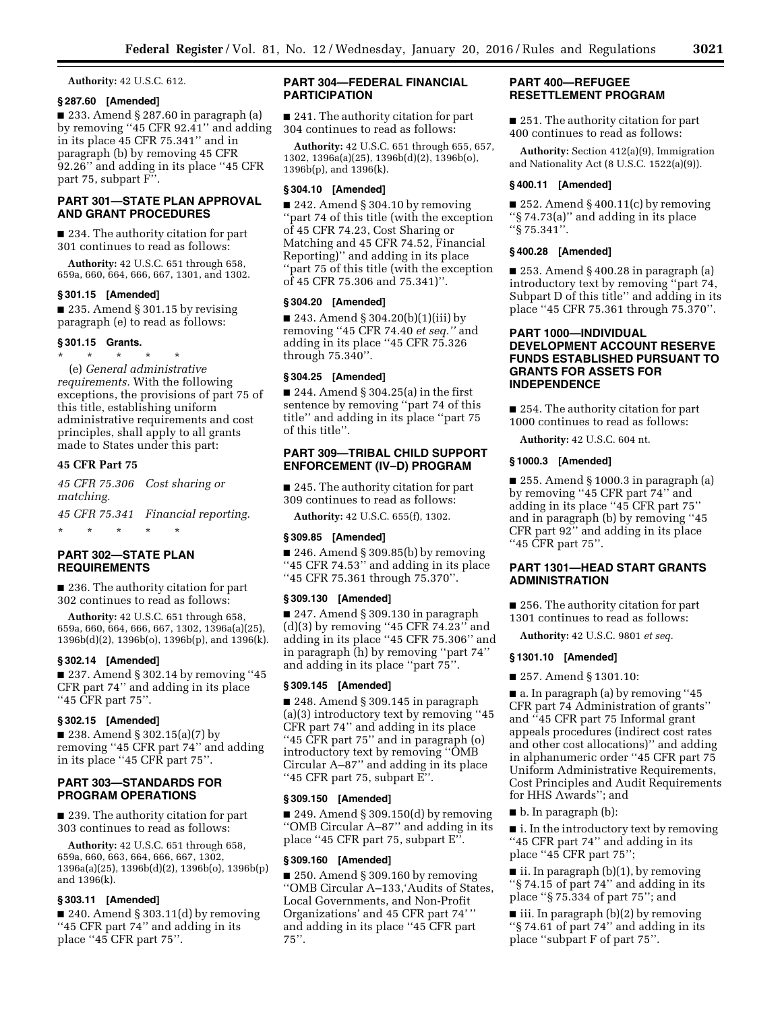**Authority:** 42 U.S.C. 612.

## **§ 287.60 [Amended]**

■ 233. Amend § 287.60 in paragraph (a) by removing ''45 CFR 92.41'' and adding in its place 45 CFR 75.341'' and in paragraph (b) by removing 45 CFR 92.26'' and adding in its place ''45 CFR part 75, subpart F''.

# **PART 301—STATE PLAN APPROVAL AND GRANT PROCEDURES**

■ 234. The authority citation for part 301 continues to read as follows:

**Authority:** 42 U.S.C. 651 through 658, 659a, 660, 664, 666, 667, 1301, and 1302.

## **§ 301.15 [Amended]**

■ 235. Amend § 301.15 by revising paragraph (e) to read as follows:

## **§ 301.15 Grants.**

\* \* \* \* \* (e) *General administrative requirements.* With the following exceptions, the provisions of part 75 of this title, establishing uniform administrative requirements and cost principles, shall apply to all grants made to States under this part:

# **45 CFR Part 75**

*45 CFR 75.306 Cost sharing or matching.* 

*45 CFR 75.341 Financial reporting.* 

# **PART 302—STATE PLAN REQUIREMENTS**

\* \* \* \* \*

■ 236. The authority citation for part 302 continues to read as follows:

**Authority:** 42 U.S.C. 651 through 658, 659a, 660, 664, 666, 667, 1302, 1396a(a)(25), 1396b(d)(2), 1396b(o), 1396b(p), and 1396(k).

## **§ 302.14 [Amended]**

■ 237. Amend § 302.14 by removing "45 CFR part 74'' and adding in its place ''45 CFR part 75''.

# **§ 302.15 [Amended]**

■ 238. Amend § 302.15(a)(7) by removing ''45 CFR part 74'' and adding in its place ''45 CFR part 75''.

# **PART 303—STANDARDS FOR PROGRAM OPERATIONS**

■ 239. The authority citation for part 303 continues to read as follows:

**Authority:** 42 U.S.C. 651 through 658, 659a, 660, 663, 664, 666, 667, 1302, 1396a(a)(25), 1396b(d)(2), 1396b(o), 1396b(p) and 1396(k).

# **§ 303.11 [Amended]**

■ 240. Amend § 303.11(d) by removing ''45 CFR part 74'' and adding in its place ''45 CFR part 75''.

# **PART 304—FEDERAL FINANCIAL PARTICIPATION**

■ 241. The authority citation for part 304 continues to read as follows:

**Authority:** 42 U.S.C. 651 through 655, 657, 1302, 1396a(a)(25), 1396b(d)(2), 1396b(o), 1396b(p), and 1396(k).

## **§ 304.10 [Amended]**

■ 242. Amend § 304.10 by removing ''part 74 of this title (with the exception of 45 CFR 74.23, Cost Sharing or Matching and 45 CFR 74.52, Financial Reporting)'' and adding in its place ''part 75 of this title (with the exception of 45 CFR 75.306 and 75.341)''.

## **§ 304.20 [Amended]**

■ 243. Amend § 304.20(b)(1)(iii) by removing ''45 CFR 74.40 *et seq.''* and adding in its place ''45 CFR 75.326 through 75.340''.

# **§ 304.25 [Amended]**

 $\blacksquare$  244. Amend § 304.25(a) in the first sentence by removing ''part 74 of this title'' and adding in its place ''part 75 of this title''.

# **PART 309—TRIBAL CHILD SUPPORT ENFORCEMENT (IV–D) PROGRAM**

■ 245. The authority citation for part 309 continues to read as follows:

**Authority:** 42 U.S.C. 655(f), 1302.

#### **§ 309.85 [Amended]**

 $\blacksquare$  246. Amend § 309.85(b) by removing ''45 CFR 74.53'' and adding in its place ''45 CFR 75.361 through 75.370''.

#### **§ 309.130 [Amended]**

■ 247. Amend § 309.130 in paragraph (d)(3) by removing ''45 CFR 74.23'' and adding in its place ''45 CFR 75.306'' and in paragraph (h) by removing ''part 74'' and adding in its place ''part 75''.

### **§ 309.145 [Amended]**

■ 248. Amend § 309.145 in paragraph (a)(3) introductory text by removing ''45 CFR part 74'' and adding in its place ''45 CFR part 75'' and in paragraph (o) introductory text by removing ''OMB Circular A–87'' and adding in its place ''45 CFR part 75, subpart E''.

# **§ 309.150 [Amended]**

 $\blacksquare$  249. Amend § 309.150(d) by removing ''OMB Circular A–87'' and adding in its place ''45 CFR part 75, subpart E''.

#### **§ 309.160 [Amended]**

■ 250. Amend § 309.160 by removing ''OMB Circular A–133,'Audits of States, Local Governments, and Non-Profit Organizations' and 45 CFR part 74' '' and adding in its place ''45 CFR part 75''.

# **PART 400—REFUGEE RESETTLEMENT PROGRAM**

■ 251. The authority citation for part 400 continues to read as follows:

**Authority:** Section 412(a)(9), Immigration and Nationality Act (8 U.S.C. 1522(a)(9)).

#### **§ 400.11 [Amended]**

■ 252. Amend § 400.11(c) by removing ''§ 74.73(a)'' and adding in its place ''§ 75.341''.

## **§ 400.28 [Amended]**

 $\blacksquare$  253. Amend § 400.28 in paragraph (a) introductory text by removing ''part 74, Subpart D of this title'' and adding in its place ''45 CFR 75.361 through 75.370''.

# **PART 1000—INDIVIDUAL DEVELOPMENT ACCOUNT RESERVE FUNDS ESTABLISHED PURSUANT TO GRANTS FOR ASSETS FOR INDEPENDENCE**

■ 254. The authority citation for part 1000 continues to read as follows:

**Authority:** 42 U.S.C. 604 nt.

# **§ 1000.3 [Amended]**

■ 255. Amend § 1000.3 in paragraph (a) by removing ''45 CFR part 74'' and adding in its place ''45 CFR part 75'' and in paragraph (b) by removing ''45 CFR part 92'' and adding in its place ''45 CFR part 75''.

# **PART 1301—HEAD START GRANTS ADMINISTRATION**

■ 256. The authority citation for part 1301 continues to read as follows:

**Authority:** 42 U.S.C. 9801 *et seq.* 

## **§ 1301.10 [Amended]**

■ 257. Amend § 1301.10:

■ a. In paragraph (a) by removing "45 CFR part 74 Administration of grants'' and ''45 CFR part 75 Informal grant appeals procedures (indirect cost rates and other cost allocations)'' and adding in alphanumeric order ''45 CFR part 75 Uniform Administrative Requirements, Cost Principles and Audit Requirements for HHS Awards''; and

■ b. In paragraph (b):

■ i. In the introductory text by removing ''45 CFR part 74'' and adding in its place ''45 CFR part 75'';

 $\blacksquare$  ii. In paragraph (b)(1), by removing ''§ 74.15 of part 74'' and adding in its place ''§ 75.334 of part 75''; and

■ iii. In paragraph (b)(2) by removing ''§ 74.61 of part 74'' and adding in its place ''subpart F of part 75''.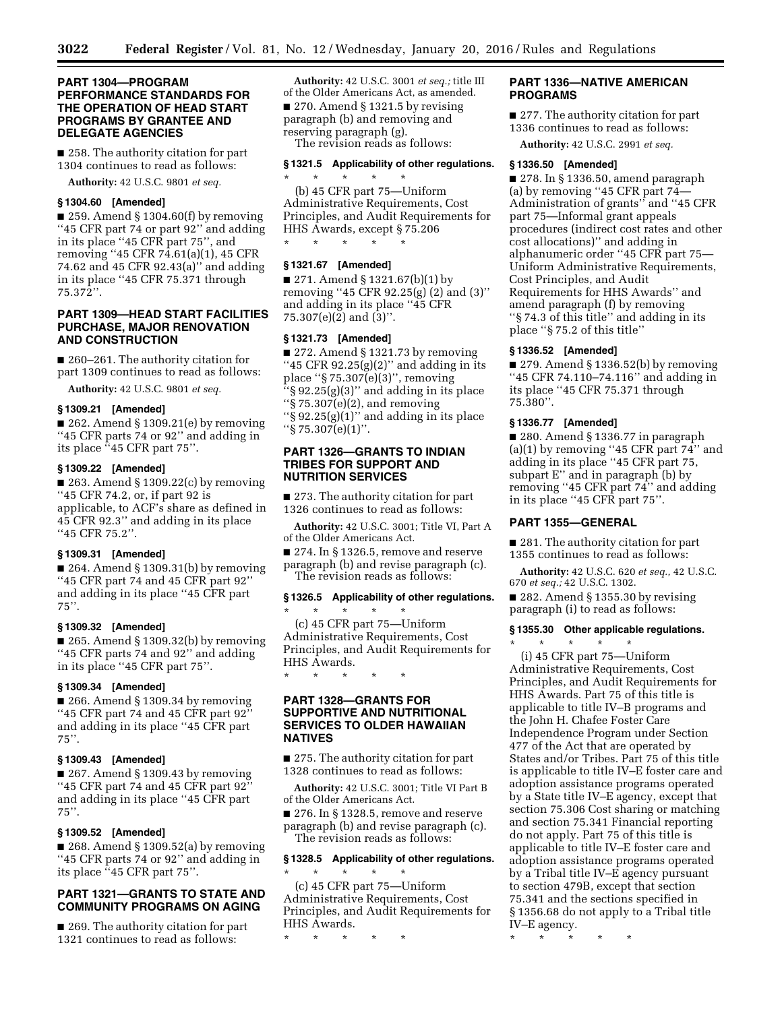# **PART 1304—PROGRAM PERFORMANCE STANDARDS FOR THE OPERATION OF HEAD START PROGRAMS BY GRANTEE AND DELEGATE AGENCIES**

■ 258. The authority citation for part 1304 continues to read as follows:

**Authority:** 42 U.S.C. 9801 *et seq.* 

# **§ 1304.60 [Amended]**

■ 259. Amend § 1304.60(f) by removing ''45 CFR part 74 or part 92'' and adding in its place ''45 CFR part 75'', and removing ''45 CFR 74.61(a)(1), 45 CFR 74.62 and 45 CFR 92.43(a)'' and adding in its place ''45 CFR 75.371 through 75.372''.

# **PART 1309—HEAD START FACILITIES PURCHASE, MAJOR RENOVATION AND CONSTRUCTION**

■ 260–261. The authority citation for part 1309 continues to read as follows:

**Authority:** 42 U.S.C. 9801 *et seq.* 

#### **§ 1309.21 [Amended]**

 $\blacksquare$  262. Amend § 1309.21(e) by removing ''45 CFR parts 74 or 92'' and adding in its place ''45 CFR part 75''.

# **§ 1309.22 [Amended]**

 $\blacksquare$  263. Amend § 1309.22(c) by removing ''45 CFR 74.2, or, if part 92 is applicable, to ACF's share as defined in 45 CFR 92.3'' and adding in its place ''45 CFR 75.2''.

# **§ 1309.31 [Amended]**

 $\blacksquare$  264. Amend § 1309.31(b) by removing ''45 CFR part 74 and 45 CFR part 92'' and adding in its place ''45 CFR part  $75$ ".

# **§ 1309.32 [Amended]**

 $\blacksquare$  265. Amend § 1309.32(b) by removing ''45 CFR parts 74 and 92'' and adding in its place ''45 CFR part 75''.

# **§ 1309.34 [Amended]**

■ 266. Amend § 1309.34 by removing ''45 CFR part 74 and 45 CFR part 92'' and adding in its place ''45 CFR part  $75$ ".

# **§ 1309.43 [Amended]**

■ 267. Amend § 1309.43 by removing ''45 CFR part 74 and 45 CFR part 92'' and adding in its place ''45 CFR part 75''.

## **§ 1309.52 [Amended]**

 $\blacksquare$  268. Amend § 1309.52(a) by removing ''45 CFR parts 74 or 92'' and adding in its place ''45 CFR part 75''.

# **PART 1321—GRANTS TO STATE AND COMMUNITY PROGRAMS ON AGING**

■ 269. The authority citation for part 1321 continues to read as follows:

**Authority:** 42 U.S.C. 3001 *et seq.;* title III of the Older Americans Act, as amended. ■ 270. Amend § 1321.5 by revising paragraph (b) and removing and reserving paragraph (g).

The revision reads as follows:

# **§ 1321.5 Applicability of other regulations.**

\* \* \* \* \* (b) 45 CFR part 75—Uniform Administrative Requirements, Cost Principles, and Audit Requirements for HHS Awards, except § 75.206 \* \* \* \* \*

## **§ 1321.67 [Amended]**

■ 271. Amend § 1321.67(b)(1) by removing ''45 CFR 92.25(g) (2) and (3)'' and adding in its place ''45 CFR 75.307(e)(2) and (3)''.

#### **§ 1321.73 [Amended]**

■ 272. Amend § 1321.73 by removing "45 CFR  $92.25(g)(2)$ " and adding in its place ''§ 75.307(e)(3)'', removing  $\S 92.25(g)(3)$ " and adding in its place  $\sqrt[4]{8}$  75.307(e)(2), and removing " $\S$  92.25(g)(1)" and adding in its place  $``\S 75.307(e)(1)''$ .

# **PART 1326—GRANTS TO INDIAN TRIBES FOR SUPPORT AND NUTRITION SERVICES**

■ 273. The authority citation for part 1326 continues to read as follows:

**Authority:** 42 U.S.C. 3001; Title VI, Part A of the Older Americans Act.

■ 274. In § 1326.5, remove and reserve paragraph (b) and revise paragraph (c). The revision reads as follows:

## **§ 1326.5 Applicability of other regulations.**

\* \* \* \* \* (c) 45 CFR part 75—Uniform Administrative Requirements, Cost Principles, and Audit Requirements for HHS Awards.

\* \* \* \* \*

# **PART 1328—GRANTS FOR SUPPORTIVE AND NUTRITIONAL SERVICES TO OLDER HAWAIIAN NATIVES**

■ 275. The authority citation for part 1328 continues to read as follows:

**Authority:** 42 U.S.C. 3001; Title VI Part B of the Older Americans Act.

■ 276. In § 1328.5, remove and reserve paragraph (b) and revise paragraph (c). The revision reads as follows:

## **§ 1328.5 Applicability of other regulations.**   $\star$   $\qquad$   $\star$   $\qquad$   $\star$

(c) 45 CFR part 75—Uniform Administrative Requirements, Cost Principles, and Audit Requirements for HHS Awards.

\* \* \* \* \*

# **PART 1336—NATIVE AMERICAN PROGRAMS**

■ 277. The authority citation for part 1336 continues to read as follows:

**Authority:** 42 U.S.C. 2991 *et seq.* 

### **§ 1336.50 [Amended]**

■ 278. In § 1336.50, amend paragraph (a) by removing ''45 CFR part 74— Administration of grants'' and ''45 CFR part 75—Informal grant appeals procedures (indirect cost rates and other cost allocations)'' and adding in alphanumeric order ''45 CFR part 75— Uniform Administrative Requirements, Cost Principles, and Audit Requirements for HHS Awards'' and amend paragraph (f) by removing ''§ 74.3 of this title'' and adding in its place ''§ 75.2 of this title''

# **§ 1336.52 [Amended]**

 $\blacksquare$  279. Amend § 1336.52(b) by removing ''45 CFR 74.110–74.116'' and adding in its place ''45 CFR 75.371 through 75.380''.

## **§ 1336.77 [Amended]**

■ 280. Amend § 1336.77 in paragraph (a)(1) by removing "45 CFR part  $74$ " and adding in its place ''45 CFR part 75, subpart E'' and in paragraph (b) by removing ''45 CFR part 74'' and adding in its place ''45 CFR part 75''.

# **PART 1355—GENERAL**

■ 281. The authority citation for part 1355 continues to read as follows:

**Authority:** 42 U.S.C. 620 *et seq.,* 42 U.S.C. 670 *et seq.;* 42 U.S.C. 1302.

 $\blacksquare$  282. Amend § 1355.30 by revising paragraph (i) to read as follows:

# **§ 1355.30 Other applicable regulations.**

\* \* \* \* \*

(i) 45 CFR part 75—Uniform Administrative Requirements, Cost Principles, and Audit Requirements for HHS Awards. Part 75 of this title is applicable to title IV–B programs and the John H. Chafee Foster Care Independence Program under Section 477 of the Act that are operated by States and/or Tribes. Part 75 of this title is applicable to title IV–E foster care and adoption assistance programs operated by a State title IV–E agency, except that section 75.306 Cost sharing or matching and section 75.341 Financial reporting do not apply. Part 75 of this title is applicable to title IV–E foster care and adoption assistance programs operated by a Tribal title IV–E agency pursuant to section 479B, except that section 75.341 and the sections specified in § 1356.68 do not apply to a Tribal title IV–E agency.

\* \* \* \* \*